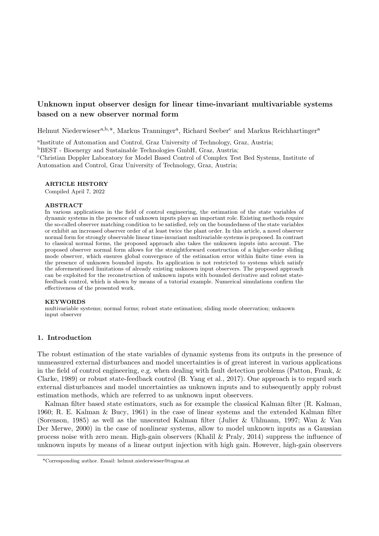# Unknown input observer design for linear time-invariant multivariable systems based on a new observer normal form

Helmut Niederwieser<sup>a,b,\*</sup>, Markus Tranninger<sup>a</sup>, Richard Seeber<sup>c</sup> and Markus Reichhartinger<sup>a</sup>

a Institute of Automation and Control, Graz University of Technology, Graz, Austria;

<sup>b</sup>BEST - Bioenergy and Sustainable Technologies GmbH, Graz, Austria;

<sup>c</sup>Christian Doppler Laboratory for Model Based Control of Complex Test Bed Systems, Institute of Automation and Control, Graz University of Technology, Graz, Austria;

### ARTICLE HISTORY

Compiled April 7, 2022

#### ABSTRACT

In various applications in the field of control engineering, the estimation of the state variables of dynamic systems in the presence of unknown inputs plays an important role. Existing methods require the so-called observer matching condition to be satisfied, rely on the boundedness of the state variables or exhibit an increased observer order of at least twice the plant order. In this article, a novel observer normal form for strongly observable linear time-invariant multivariable systems is proposed. In contrast to classical normal forms, the proposed approach also takes the unknown inputs into account. The proposed observer normal form allows for the straightforward construction of a higher-order sliding mode observer, which ensures global convergence of the estimation error within finite time even in the presence of unknown bounded inputs. Its application is not restricted to systems which satisfy the aforementioned limitations of already existing unknown input observers. The proposed approach can be exploited for the reconstruction of unknown inputs with bounded derivative and robust statefeedback control, which is shown by means of a tutorial example. Numerical simulations confirm the effectiveness of the presented work.

#### KEYWORDS

multivariable systems; normal forms; robust state estimation; sliding mode observation; unknown input observer

### 1. Introduction

The robust estimation of the state variables of dynamic systems from its outputs in the presence of unmeasured external disturbances and model uncertainties is of great interest in various applications in the field of control engineering, e.g. when dealing with fault detection problems (Patton, Frank, & Clarke, 1989) or robust state-feedback control (B. Yang et al., 2017). One approach is to regard such external disturbances and model uncertainties as unknown inputs and to subsequently apply robust estimation methods, which are referred to as unknown input observers.

Kalman filter based state estimators, such as for example the classical Kalman filter (R. Kalman, 1960; R. E. Kalman & Bucy, 1961) in the case of linear systems and the extended Kalman filter (Sorenson, 1985) as well as the unscented Kalman filter (Julier & Uhlmann, 1997; Wan & Van Der Merwe, 2000) in the case of nonlinear systems, allow to model unknown inputs as a Gaussian process noise with zero mean. High-gain observers (Khalil & Praly, 2014) suppress the influence of unknown inputs by means of a linear output injection with high gain. However, high-gain observers

<sup>\*</sup>Corresponding author. Email: helmut.niederwieser@tugraz.at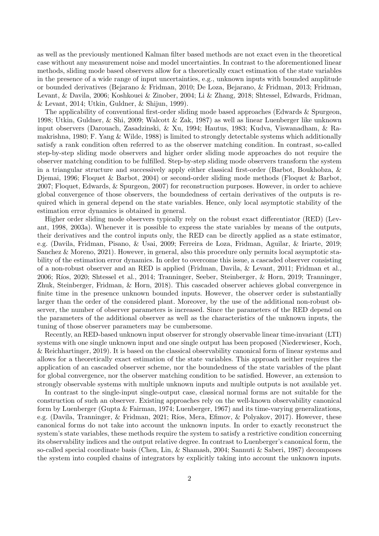as well as the previously mentioned Kalman filter based methods are not exact even in the theoretical case without any measurement noise and model uncertainties. In contrast to the aforementioned linear methods, sliding mode based observers allow for a theoretically exact estimation of the state variables in the presence of a wide range of input uncertainties, e.g., unknown inputs with bounded amplitude or bounded derivatives (Bejarano & Fridman, 2010; De Loza, Bejarano, & Fridman, 2013; Fridman, Levant, & Davila, 2006; Koshkouei & Zinober, 2004; Li & Zhang, 2018; Shtessel, Edwards, Fridman, & Levant, 2014; Utkin, Guldner, & Shijun, 1999).

The applicability of conventional first-order sliding mode based approaches (Edwards & Spurgeon, 1998; Utkin, Guldner, & Shi, 2009; Walcott & Zak, 1987) as well as linear Luenberger like unknown input observers (Darouach, Zasadzinski, & Xu, 1994; Hautus, 1983; Kudva, Viswanadham, & Ramakrishna, 1980; F. Yang & Wilde, 1988) is limited to strongly detectable systems which additionally satisfy a rank condition often referred to as the observer matching condition. In contrast, so-called step-by-step sliding mode observers and higher order sliding mode approaches do not require the observer matching condition to be fulfilled. Step-by-step sliding mode observers transform the system in a triangular structure and successively apply either classical first-order (Barbot, Boukhobza, & Djemai, 1996; Floquet & Barbot, 2004) or second-order sliding mode methods (Floquet & Barbot, 2007; Floquet, Edwards, & Spurgeon, 2007) for reconstruction purposes. However, in order to achieve global convergence of those observers, the boundedness of certain derivatives of the outputs is required which in general depend on the state variables. Hence, only local asymptotic stability of the estimation error dynamics is obtained in general.

Higher order sliding mode observers typically rely on the robust exact differentiator (RED) (Levant, 1998, 2003a). Whenever it is possible to express the state variables by means of the outputs, their derivatives and the control inputs only, the RED can be directly applied as a state estimator, e.g. (Davila, Fridman, Pisano, & Usai, 2009; Ferreira de Loza, Fridman, Aguilar, & Iriarte, 2019; Sanchez & Moreno, 2021). However, in general, also this procedure only permits local asymptotic stability of the estimation error dynamics. In order to overcome this issue, a cascaded observer consisting of a non-robust observer and an RED is applied (Fridman, Davila, & Levant, 2011; Fridman et al., 2006; R´ıos, 2020; Shtessel et al., 2014; Tranninger, Seeber, Steinberger, & Horn, 2019; Tranninger, Zhuk, Steinberger, Fridman, & Horn, 2018). This cascaded observer achieves global convergence in finite time in the presence unknown bounded inputs. However, the observer order is substantially larger than the order of the considered plant. Moreover, by the use of the additional non-robust observer, the number of observer parameters is increased. Since the parameters of the RED depend on the parameters of the additional observer as well as the characteristics of the unknown inputs, the tuning of those observer parameters may be cumbersome.

Recently, an RED-based unknown input observer for strongly observable linear time-invariant (LTI) systems with one single unknown input and one single output has been proposed (Niederwieser, Koch, & Reichhartinger, 2019). It is based on the classical observability canonical form of linear systems and allows for a theoretically exact estimation of the state variables. This approach neither requires the application of an cascaded observer scheme, nor the boundedness of the state variables of the plant for global convergence, nor the observer matching condition to be satisfied. However, an extension to strongly observable systems with multiple unknown inputs and multiple outputs is not available yet.

In contrast to the single-input single-output case, classical normal forms are not suitable for the construction of such an observer. Existing approaches rely on the well-known observability canonical form by Luenberger (Gupta & Fairman, 1974; Luenberger, 1967) and its time-varying generalizations, e.g. (Davila, Tranninger, & Fridman, 2021; Ríos, Mera, Efimov, & Polyakov, 2017). However, these canonical forms do not take into account the unknown inputs. In order to exactly reconstruct the system's state variables, these methods require the system to satisfy a restrictive condition concerning its observability indices and the output relative degree. In contrast to Luenberger's canonical form, the so-called special coordinate basis (Chen, Lin, & Shamash, 2004; Sannuti & Saberi, 1987) decomposes the system into coupled chains of integrators by explicitly taking into account the unknown inputs.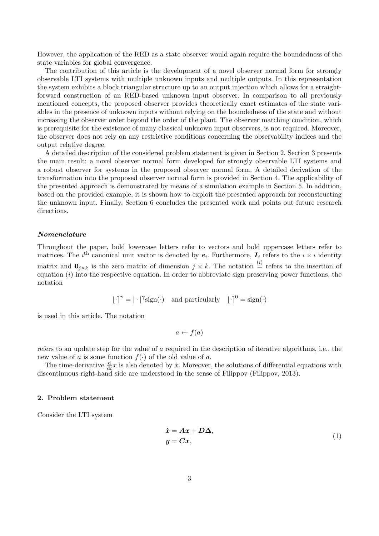However, the application of the RED as a state observer would again require the boundedness of the state variables for global convergence.

The contribution of this article is the development of a novel observer normal form for strongly observable LTI systems with multiple unknown inputs and multiple outputs. In this representation the system exhibits a block triangular structure up to an output injection which allows for a straightforward construction of an RED-based unknown input observer. In comparison to all previously mentioned concepts, the proposed observer provides theoretically exact estimates of the state variables in the presence of unknown inputs without relying on the boundedness of the state and without increasing the observer order beyond the order of the plant. The observer matching condition, which is prerequisite for the existence of many classical unknown input observers, is not required. Moreover, the observer does not rely on any restrictive conditions concerning the observability indices and the output relative degree.

A detailed description of the considered problem statement is given in Section 2. Section 3 presents the main result: a novel observer normal form developed for strongly observable LTI systems and a robust observer for systems in the proposed observer normal form. A detailed derivation of the transformation into the proposed observer normal form is provided in Section 4. The applicability of the presented approach is demonstrated by means of a simulation example in Section 5. In addition, based on the provided example, it is shown how to exploit the presented approach for reconstructing the unknown input. Finally, Section 6 concludes the presented work and points out future research directions.

### Nomenclature

Throughout the paper, bold lowercase letters refer to vectors and bold uppercase letters refer to matrices. The *i*<sup>th</sup> canonical unit vector is denoted by  $e_i$ . Furthermore,  $I_i$  refers to the  $i \times i$  identity matrix and  $\mathbf{0}_{j\times k}$  is the zero matrix of dimension  $j\times k$ . The notation  $\stackrel{(i)}{=}$  refers to the insertion of equation  $(i)$  into the respective equation. In order to abbreviate sign preserving power functions, the notation

$$
\lfloor \cdot \rceil^{\gamma} = |\cdot|^{\gamma} \text{sign}(\cdot) \quad \text{and particularly} \quad \lfloor \cdot \rceil^0 = \text{sign}(\cdot)
$$

is used in this article. The notation

$$
a \leftarrow f(a)
$$

refers to an update step for the value of a required in the description of iterative algorithms, i.e., the new value of a is some function  $f(\cdot)$  of the old value of a.

The time-derivative  $\frac{d}{dt}x$  is also denoted by  $\dot{x}$ . Moreover, the solutions of differential equations with discontinuous right-hand side are understood in the sense of Filippov (Filippov, 2013).

### 2. Problem statement

Consider the LTI system

$$
\begin{aligned}\n\dot{x} &= A x + D \Delta, \\
y &= C x,\n\end{aligned} \tag{1}
$$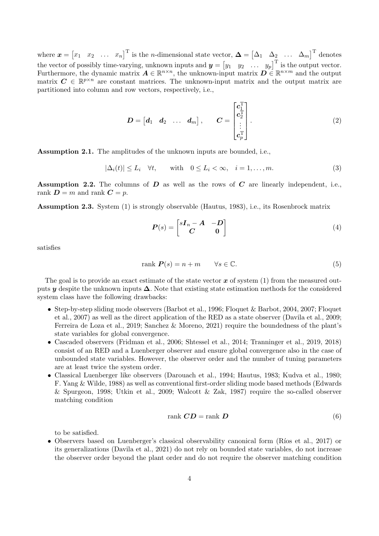where  $\boldsymbol{x} = \begin{bmatrix} x_1 & x_2 & \dots & x_n \end{bmatrix}^\text{T}$  is the *n*-dimensional state vector,  $\boldsymbol{\Delta} = \begin{bmatrix} \Delta_1 & \Delta_2 & \dots & \Delta_m \end{bmatrix}^\text{T}$  denotes the vector of possibly time-varying, unknown inputs and  $\boldsymbol{y} = \begin{bmatrix} y_1 & y_2 & \dots & y_p \end{bmatrix}^T$  is the output vector. Furthermore, the dynamic matrix  $\mathbf{\Lambda} \in \mathbb{R}^{n \times n}$ , the unknown-input matrix  $\mathbf{D} \in \mathbb{R}^{n \times m}$  and the output matrix  $C \in \mathbb{R}^{p \times n}$  are constant matrices. The unknown-input matrix and the output matrix are partitioned into column and row vectors, respectively, i.e.,

$$
D = \begin{bmatrix} d_1 & d_2 & \dots & d_m \end{bmatrix}, \qquad C = \begin{bmatrix} c_1^{\mathrm{T}} \\ c_2^{\mathrm{T}} \\ \vdots \\ c_p^{\mathrm{T}} \end{bmatrix}.
$$
 (2)

Assumption 2.1. The amplitudes of the unknown inputs are bounded, i.e.,

$$
|\Delta_i(t)| \le L_i \quad \forall t, \qquad \text{with} \quad 0 \le L_i < \infty, \quad i = 1, \dots, m. \tag{3}
$$

Assumption 2.2. The columns of  $D$  as well as the rows of  $C$  are linearly independent, i.e., rank  $D = m$  and rank  $C = p$ .

Assumption 2.3. System (1) is strongly observable (Hautus, 1983), i.e., its Rosenbrock matrix

$$
P(s) = \begin{bmatrix} sI_n - A & -D \\ C & 0 \end{bmatrix}
$$
 (4)

satisfies

$$
rank \mathbf{P}(s) = n + m \qquad \forall s \in \mathbb{C}.\tag{5}
$$

The goal is to provide an exact estimate of the state vector  $x$  of system (1) from the measured outputs y despite the unknown inputs  $\Delta$ . Note that existing state estimation methods for the considered system class have the following drawbacks:

- Step-by-step sliding mode observers (Barbot et al., 1996; Floquet & Barbot, 2004, 2007; Floquet et al., 2007) as well as the direct application of the RED as a state observer (Davila et al., 2009; Ferreira de Loza et al., 2019; Sanchez & Moreno, 2021) require the boundedness of the plant's state variables for global convergence.
- Cascaded observers (Fridman et al., 2006; Shtessel et al., 2014; Tranninger et al., 2019, 2018) consist of an RED and a Luenberger observer and ensure global convergence also in the case of unbounded state variables. However, the observer order and the number of tuning parameters are at least twice the system order.
- Classical Luenberger like observers (Darouach et al., 1994; Hautus, 1983; Kudva et al., 1980; F. Yang & Wilde, 1988) as well as conventional first-order sliding mode based methods (Edwards & Spurgeon, 1998; Utkin et al., 2009; Walcott & Zak, 1987) require the so-called observer matching condition

$$
rank\;\mathbf{CD} = rank\;\mathbf{D}\tag{6}
$$

to be satisfied.

• Observers based on Luenberger's classical observability canonical form (Ríos et al., 2017) or its generalizations (Davila et al., 2021) do not rely on bounded state variables, do not increase the observer order beyond the plant order and do not require the observer matching condition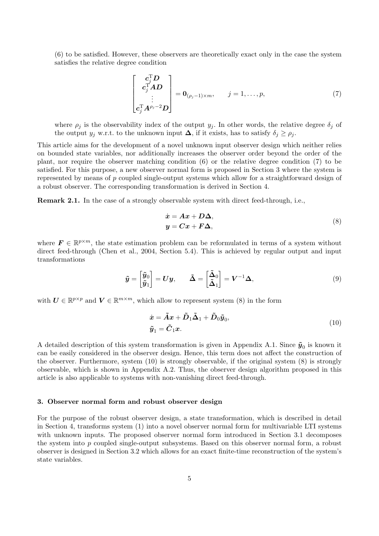(6) to be satisfied. However, these observers are theoretically exact only in the case the system satisfies the relative degree condition

$$
\begin{bmatrix}\n\mathbf{c}_j^{\mathrm{T}}\mathbf{D} \\
\mathbf{c}_j^{\mathrm{T}}\mathbf{A}\mathbf{D} \\
\vdots \\
\mathbf{c}_j^{\mathrm{T}}\mathbf{A}^{\rho_j-2}\mathbf{D}\n\end{bmatrix} = \mathbf{0}_{(\rho_j-1)\times m}, \quad j = 1, \ldots, p,
$$
\n(7)

where  $\rho_j$  is the observability index of the output  $y_j$ . In other words, the relative degree  $\delta_j$  of the output  $y_j$  w.r.t. to the unknown input  $\Delta$ , if it exists, has to satisfy  $\delta_j \ge \rho_j$ .

This article aims for the development of a novel unknown input observer design which neither relies on bounded state variables, nor additionally increases the observer order beyond the order of the plant, nor require the observer matching condition (6) or the relative degree condition (7) to be satisfied. For this purpose, a new observer normal form is proposed in Section 3 where the system is represented by means of p coupled single-output systems which allow for a straightforward design of a robust observer. The corresponding transformation is derived in Section 4.

Remark 2.1. In the case of a strongly observable system with direct feed-through, i.e.,

$$
\begin{aligned}\n\dot{x} &= A x + D \Delta, \\
y &= C x + F \Delta,\n\end{aligned} \tag{8}
$$

where  $\mathbf{F} \in \mathbb{R}^{p \times m}$ , the state estimation problem can be reformulated in terms of a system without direct feed-through (Chen et al., 2004, Section 5.4). This is achieved by regular output and input transformations

$$
\tilde{\mathbf{y}} = \begin{bmatrix} \tilde{\mathbf{y}}_0 \\ \tilde{\mathbf{y}}_1 \end{bmatrix} = \mathbf{U}\mathbf{y}, \qquad \tilde{\mathbf{\Delta}} = \begin{bmatrix} \tilde{\mathbf{\Delta}}_0 \\ \tilde{\mathbf{\Delta}}_1 \end{bmatrix} = \mathbf{V}^{-1} \mathbf{\Delta}, \tag{9}
$$

with  $U \in \mathbb{R}^{p \times p}$  and  $V \in \mathbb{R}^{m \times m}$ , which allow to represent system (8) in the form

$$
\dot{x} = \tilde{A}x + \tilde{D}_1\tilde{\Delta}_1 + \tilde{D}_0\tilde{y}_0,
$$
  

$$
\tilde{y}_1 = \tilde{C}_1x.
$$
 (10)

A detailed description of this system transformation is given in Appendix A.1. Since  $\tilde{\mathbf{y}}_0$  is known it can be easily considered in the observer design. Hence, this term does not affect the construction of the observer. Furthermore, system (10) is strongly observable, if the original system (8) is strongly observable, which is shown in Appendix A.2. Thus, the observer design algorithm proposed in this article is also applicable to systems with non-vanishing direct feed-through.

### 3. Observer normal form and robust observer design

For the purpose of the robust observer design, a state transformation, which is described in detail in Section 4, transforms system (1) into a novel observer normal form for multivariable LTI systems with unknown inputs. The proposed observer normal form introduced in Section 3.1 decomposes the system into p coupled single-output subsystems. Based on this observer normal form, a robust observer is designed in Section 3.2 which allows for an exact finite-time reconstruction of the system's state variables.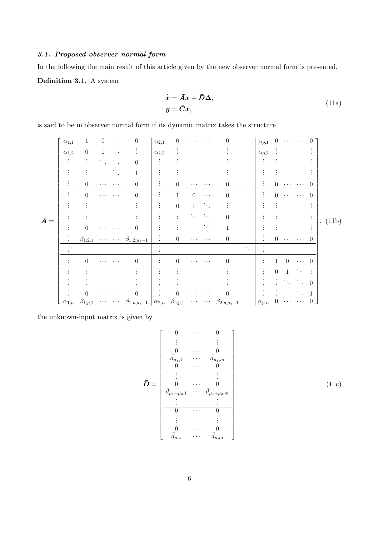# 3.1. Proposed observer normal form

In the following the main result of this article given by the new observer normal form is presented.

Definition 3.1. A system

$$
\dot{\overline{x}} = \overline{A}\overline{x} + \overline{D}\Delta, \n\overline{y} = \overline{C}\overline{x},
$$
\n(11a)

is said to be in observer normal form if its dynamic matrix takes the structure

|             | $\alpha_{1,1}$                 | $\mathbf{1}$     | $\overline{0}$              | $\cdots$                                  | $\overline{0}$                          | $\alpha_{2,1}$       | $\boldsymbol{0}$ | .                                                         | $\cdots$                                 | 0                     |                        | $\alpha_{p,1}$ 0 |                  |                     | $\mathbf{a}$ , $\mathbf{a}$ , $\mathbf{a}$ , $\mathbf{a}$ , $\mathbf{a}$                |                |         |
|-------------|--------------------------------|------------------|-----------------------------|-------------------------------------------|-----------------------------------------|----------------------|------------------|-----------------------------------------------------------|------------------------------------------|-----------------------|------------------------|------------------|------------------|---------------------|-----------------------------------------------------------------------------------------|----------------|---------|
| $\bar{A} =$ | $\alpha_{1,2}$                 | $\boldsymbol{0}$ | $\mathbf{1}$                | $\sim 100$                                |                                         | $\alpha_{2,2}$       |                  |                                                           |                                          |                       |                        | $\alpha_{p,2}$   |                  |                     |                                                                                         |                | , (11b) |
|             |                                | ÷                | $\mathcal{L}_{\mathcal{L}}$ |                                           | $\theta$                                | $\vdots$             |                  |                                                           |                                          |                       |                        |                  |                  |                     |                                                                                         |                |         |
|             |                                |                  |                             | $\mathcal{F}_{\mathcal{F}_{\mathcal{A}}}$ |                                         |                      |                  |                                                           |                                          |                       |                        |                  |                  |                     |                                                                                         |                |         |
|             |                                | $\overline{0}$   | $\cdots$                    | $\cdots$                                  | $\boldsymbol{0}$                        |                      | $\overline{0}$   | $\cdots$                                                  | $\cdots$                                 | 0                     |                        |                  | $\overline{0}$   |                     | $\mathbf{1}$ , $\mathbf{1}$ , $\mathbf{1}$ , $\mathbf{1}$ , $\mathbf{1}$ , $\mathbf{1}$ | $\theta$       |         |
|             |                                | $\boldsymbol{0}$ | $\cdots$                    | $\cdots$                                  | $\theta$                                | $\ddot{\cdot}$       | $\mathbf{1}$     | $\overline{0}$                                            | $\cdots$                                 | $\boldsymbol{0}$      |                        |                  | $\boldsymbol{0}$ |                     | $\cdots$                                                                                | $\theta$       |         |
|             |                                |                  |                             |                                           |                                         | $\bullet$            | $\boldsymbol{0}$ |                                                           | $\langle \cdot \rangle_{\rm c}$          |                       |                        |                  |                  |                     |                                                                                         |                |         |
|             |                                |                  |                             |                                           |                                         |                      |                  | $\mathcal{N}_{\mathrm{c}}$                                | $\mathcal{L}_{\text{max}}$               | 0                     |                        |                  |                  |                     |                                                                                         |                |         |
|             |                                | $\boldsymbol{0}$ | $\cdots$                    | $\cdots$                                  | $\theta$                                | $\ddot{\cdot}$       |                  |                                                           | $\mathcal{O}(\mathcal{E}_{\mathcal{A}})$ |                       |                        |                  |                  |                     |                                                                                         |                |         |
|             |                                |                  |                             |                                           | $\beta_{1,2,1}$ $\beta_{1,2,\mu_1-1}$   | $\ddot{\phantom{a}}$ | $\overline{0}$   | $\cdots$                                                  | $\cdots$                                 | $\boldsymbol{0}$      |                        |                  |                  | $0\ \cdots\ \cdots$ |                                                                                         | $\Omega$       |         |
|             |                                |                  |                             |                                           |                                         |                      |                  |                                                           |                                          |                       | $\ddot{\phantom{a}}$ . |                  |                  |                     |                                                                                         |                |         |
|             |                                | $\overline{0}$   | $\cdots$                    | .                                         | $\theta$                                | $\vdots$             | $\Omega$         | $\cdots$                                                  | $\cdots$                                 | $\theta$              |                        |                  |                  | $\Omega$            | $\cdots$                                                                                | $\theta$       |         |
|             |                                |                  |                             |                                           |                                         |                      |                  |                                                           |                                          |                       |                        |                  | $\overline{0}$   |                     |                                                                                         |                |         |
|             |                                |                  |                             |                                           |                                         |                      |                  |                                                           |                                          |                       |                        |                  |                  |                     | $\mathcal{L}_{\text{max}}$ , $\mathcal{L}_{\text{max}}$                                 | $\Omega$       |         |
|             |                                | $\Omega$         |                             |                                           | $\theta$                                | $\ddot{\phantom{a}}$ | $\Omega$         |                                                           | $\cdots$                                 | $\theta$              |                        |                  |                  |                     |                                                                                         | $\overline{1}$ |         |
|             | $\lfloor \alpha_{1,n} \rfloor$ | $\beta_{1,p,1}$  | $\cdot$                     | $\sim 1000$ km s $^{-1}$                  | $\beta_{1,p,\mu_1-1} \mid \alpha_{2,n}$ |                      | $\beta_{2,p,1}$  | $\bullet$ , $\bullet$ , $\bullet$ , $\bullet$ , $\bullet$ |                                          | $\beta_{2,p,\mu_2-1}$ |                        | $\alpha_{p,n}$   | $\overline{0}$   | $\cdots$            | $\cdots$                                                                                | 0              |         |

the unknown-input matrix is given by

$$
\bar{D} = \begin{bmatrix}\n0 & \cdots & 0 \\
\vdots & & \vdots \\
0 & \cdots & 0 \\
\frac{\bar{d}_{\mu_1,1} & \cdots & \bar{d}_{\mu_1,m}}{0} \\
\vdots & & \vdots \\
0 & \cdots & 0 \\
\frac{\bar{d}_{\mu_1+\mu_2,1} & \cdots & \bar{d}_{\mu_1+\mu_2,m}}{0} \\
\vdots & & \vdots \\
0 & \cdots & 0 \\
\frac{\bar{d}_{n,1} & \cdots & \bar{d}_{n,m}\n\end{bmatrix}
$$
\n(11c)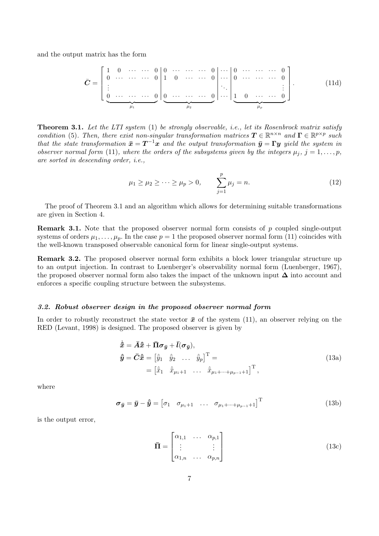and the output matrix has the form

$$
\bar{C} = \left[\begin{array}{cccccc} 1 & 0 & \cdots & \cdots & 0 & 0 & \cdots & \cdots & \cdots & 0 \\ 0 & \cdots & \cdots & \cdots & 0 & 1 & 0 & \cdots & \cdots & 0 \\ \vdots & & & & & & & & \\ \hline 0 & \cdots & \cdots & \cdots & 0 & 0 & \cdots & \cdots & 0 \\ \vdots & & & & & & & & \\ \hline 0 & \cdots & \cdots & \cdots & 0 & 0 & \cdots & \cdots & 0 \\ \hline \end{array}\right].\tag{11d}
$$

Theorem 3.1. Let the LTI system (1) be strongly observable, i.e., let its Rosenbrock matrix satisfy condition (5). Then, there exist non-singular transformation matrices  $\mathbf{T} \in \mathbb{R}^{n \times n}$  and  $\mathbf{\Gamma} \in \mathbb{R}^{p \times p}$  such that the state transformation  $\bar{x} = T^{-1}x$  and the output transformation  $\bar{y} = \Gamma y$  yield the system in observer normal form (11), where the orders of the subsystems given by the integers  $\mu_j$ ,  $j = 1, \ldots, p$ , are sorted in descending order, i.e.,

$$
\mu_1 \ge \mu_2 \ge \cdots \ge \mu_p > 0, \qquad \sum_{j=1}^p \mu_j = n.
$$
\n(12)

The proof of Theorem 3.1 and an algorithm which allows for determining suitable transformations are given in Section 4.

Remark 3.1. Note that the proposed observer normal form consists of p coupled single-output systems of orders  $\mu_1, \ldots, \mu_p$ . In the case  $p = 1$  the proposed observer normal form (11) coincides with the well-known transposed observable canonical form for linear single-output systems.

Remark 3.2. The proposed observer normal form exhibits a block lower triangular structure up to an output injection. In contrast to Luenberger's observability normal form (Luenberger, 1967), the proposed observer normal form also takes the impact of the unknown input ∆ into account and enforces a specific coupling structure between the subsystems.

#### 3.2. Robust observer design in the proposed observer normal form

In order to robustly reconstruct the state vector  $\bar{x}$  of the system (11), an observer relying on the RED (Levant, 1998) is designed. The proposed observer is given by

$$
\dot{\hat{\overline{x}}} = \overline{A}\hat{\overline{x}} + \overline{\Pi}\sigma_{\overline{y}} + \overline{l}(\sigma_{\overline{y}}),
$$
\n
$$
\hat{\overline{y}} = \overline{C}\hat{\overline{x}} = \begin{bmatrix} \hat{y}_1 & \hat{y}_2 & \dots & \hat{y}_p \end{bmatrix}^\mathrm{T} =
$$
\n
$$
= \begin{bmatrix} \hat{x}_1 & \hat{x}_{\mu_1+1} & \dots & \hat{x}_{\mu_1+\dots+\mu_{p-1}+1} \end{bmatrix}^\mathrm{T},
$$
\n(13a)

where

$$
\boldsymbol{\sigma}_{\bar{\boldsymbol{y}}} = \bar{\boldsymbol{y}} - \hat{\bar{\boldsymbol{y}}} = \begin{bmatrix} \sigma_1 & \sigma_{\mu_1+1} & \dots & \sigma_{\mu_1+\dots+\mu_{p-1}+1} \end{bmatrix}^\mathrm{T}
$$
(13b)

is the output error,

$$
\bar{\mathbf{\Pi}} = \begin{bmatrix} \alpha_{1,1} & \cdots & \alpha_{p,1} \\ \vdots & & \vdots \\ \alpha_{1,n} & \cdots & \alpha_{p,n} \end{bmatrix}
$$
 (13c)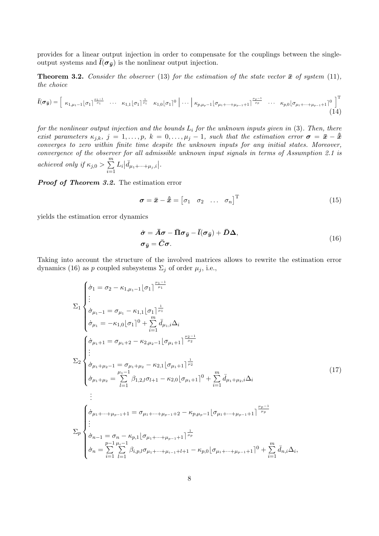provides for a linear output injection in order to compensate for the couplings between the singleoutput systems and  $\bar{l}(\sigma_{\bar{q}})$  is the nonlinear output injection.

**Theorem 3.2.** Consider the observer (13) for the estimation of the state vector  $\bar{x}$  of system (11), the choice

$$
\bar{l}(\sigma_{\bar{y}}) = \begin{bmatrix} \kappa_{1,\mu_1-1}[\sigma_1]^{\frac{\mu_1-1}{\mu_1}} & \cdots & \kappa_{1,1}[\sigma_1]^{\frac{1}{\mu_1}} & \kappa_{1,0}[\sigma_1]^0 & \cdots & \kappa_{p,\mu_p-1}[\sigma_{\mu_1+\cdots+\mu_{p-1}+1}]^{\frac{\mu_p-1}{\mu_p}} & \cdots & \kappa_{p,0}[\sigma_{\mu_1+\cdots+\mu_{p-1}+1}]^0 \end{bmatrix}^T
$$
\n(14)

for the nonlinear output injection and the bounds  $L_i$  for the unknown inputs given in (3). Then, there exist parameters  $\kappa_{j,k}$ ,  $j = 1, \ldots, p$ ,  $k = 0, \ldots, \mu_j - 1$ , such that the estimation error  $\sigma = \bar{x} - \hat{x}$ converges to zero within finite time despite the unknown inputs for any initial states. Moreover, convergence of the observer for all admissible unknown input signals in terms of Assumption 2.1 is achieved only if  $\kappa_{j,0} > \sum_{i=1}^{m}$  $i=1$  $L_i | \bar{d}_{\mu_1 + \dots + \mu_j, i} |$ .

Proof of Theorem 3.2. The estimation error

$$
\boldsymbol{\sigma} = \boldsymbol{\bar{x}} - \boldsymbol{\hat{\bar{x}}} = \begin{bmatrix} \sigma_1 & \sigma_2 & \dots & \sigma_n \end{bmatrix}^\mathrm{T}
$$
 (15)

yields the estimation error dynamics

$$
\dot{\sigma} = \bar{A}\sigma - \bar{\Pi}\sigma_{\bar{y}} - \bar{l}(\sigma_{\bar{y}}) + \bar{D}\Delta,
$$
  
\n
$$
\sigma_{\bar{y}} = \bar{C}\sigma.
$$
\n(16)

Taking into account the structure of the involved matrices allows to rewrite the estimation error dynamics (16) as p coupled subsystems  $\Sigma_j$  of order  $\mu_j$ , i.e.,

$$
\sum_{i=1}^{\tilde{\sigma}_{1}} \left\{ \begin{aligned}\n\dot{\sigma}_{1} &= \sigma_{2} - \kappa_{1,\mu_{1}-1} \left[ \sigma_{1} \right]^{\frac{\mu_{1}-1}}{\mu_{1}} \\
\dot{\sigma}_{\mu_{1}-1} &= \sigma_{\mu_{1}} - \kappa_{1,1} \left[ \sigma_{1} \right]^{\frac{1}{\mu_{1}}} \\
\dot{\sigma}_{\mu_{1}} &= -\kappa_{1,0} \left[ \sigma_{1} \right]^{0} + \sum_{i=1}^{m} \bar{d}_{\mu_{1},i} \Delta_{i} \\
\dot{\sigma}_{\mu_{1}+1} &= \sigma_{\mu_{1}+2} - \kappa_{2,\mu_{2}-1} \left[ \sigma_{\mu_{1}+1} \right]^{\frac{\mu_{2}-1}{\mu_{2}}} \\
\vdots \\
\dot{\sigma}_{\mu_{1}+\mu_{2}-1} &= \sigma_{\mu_{1}+\mu_{2}} - \kappa_{2,1} \left[ \sigma_{\mu_{1}+1} \right]^{\frac{1}{\mu_{2}}} \\
\dot{\sigma}_{\mu_{1}+\mu_{2}} &= \sum_{l=1}^{\mu_{1}-1} \beta_{1,2,l} \sigma_{l+1} - \kappa_{2,0} \left[ \sigma_{\mu_{1}+1} \right]^{0} + \sum_{i=1}^{m} \bar{d}_{\mu_{1}+\mu_{2},i} \Delta_{i} \\
&\vdots \\
\dot{\sigma}_{\mu_{1}+\cdots+\mu_{p-1}+1} &= \sigma_{\mu_{1}+\cdots+\mu_{p-1}+2} - \kappa_{p,\mu_{p}-1} \left[ \sigma_{\mu_{1}+\cdots+\mu_{p-1}+1} \right]^{\frac{\mu_{p}-1}{\mu_{p}}} \\
\vdots \\
\sum_{p} \left\{ \begin{aligned}\n\dot{\sigma}_{n-1} &= \sigma_{n} - \kappa_{p,1} \left[ \sigma_{\mu_{1}+\cdots+\mu_{p-1}+1} \right]^{\frac{1}{\mu_{p}}} \\
\dot{\sigma}_{n-1} &= \sigma_{n} - \kappa_{p,1} \left[ \sigma_{\mu_{1}+\cdots+\mu_{p-1}+1} \right]^{\frac{1}{\mu_{p}}} \\
\dot{\sigma}_{n} &= \sum_{i=1}^{p-1} \sum_{l=1}^{p-1} \beta_{i,p,l
$$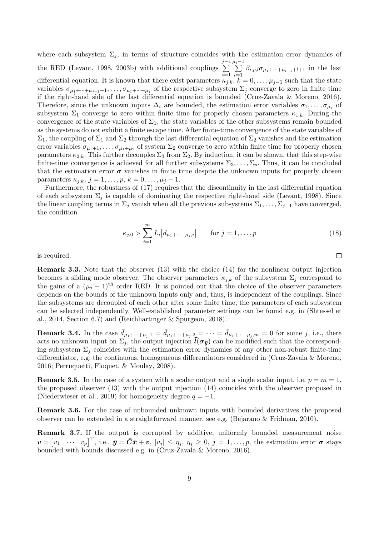where each subsystem  $\Sigma_i$ , in terms of structure coincides with the estimation error dynamics of the RED (Levant, 1998, 2003b) with additional couplings  $\sum_{i=1}^{j-1}$  $i=1$  $\sum_{i=1}^{\mu_i-1}$  $\sum_{l=1} \beta_{i,p,l} \sigma_{\mu_1+\cdots+\mu_{i-1}+l+1}$  in the last differential equation. It is known that there exist parameters  $\kappa_{i,k}$ ,  $k = 0, \ldots, \mu_{j-1}$  such that the state variables  $\sigma_{\mu_1+\cdots+\mu_{j-1}+1},\ldots,\sigma_{\mu_1+\cdots+\mu_j}$  of the respective subsystem  $\Sigma_j$  converge to zero in finite time if the right-hand side of the last differential equation is bounded (Cruz-Zavala & Moreno, 2016). Therefore, since the unknown inputs  $\Delta_i$  are bounded, the estimation error variables  $\sigma_1, \ldots, \sigma_{\mu_1}$  of subsystem  $\Sigma_1$  converge to zero within finite time for properly chosen parameters  $\kappa_{1,k}$ . During the convergence of the state variables of  $\Sigma_1$ , the state variables of the other subsystems remain bounded as the systems do not exhibit a finite escape time. After finite-time convergence of the state variables of  $\Sigma_1$ , the coupling of  $\Sigma_1$  and  $\Sigma_2$  through the last differential equation of  $\Sigma_2$  vanishes and the estimation error variables  $\sigma_{\mu_1+1}, \ldots, \sigma_{\mu_1+\mu_2}$  of system  $\Sigma_2$  converge to zero within finite time for properly chosen parameters  $\kappa_{2,k}$ . This further decouples  $\Sigma_3$  from  $\Sigma_2$ . By induction, it can be shown, that this step-wise finite-time convergence is achieved for all further subsystems  $\Sigma_3, \ldots, \Sigma_p$ . Thus, it can be concluded that the estimation error  $\sigma$  vanishes in finite time despite the unknown inputs for properly chosen parameters  $\kappa_{i,k}, j = 1, \ldots, p, k = 0, \ldots, \mu_j - 1.$ 

Furthermore, the robustness of (17) requires that the discontinuity in the last differential equation of each subsystem  $\Sigma_j$  is capable of dominating the respective right-hand side (Levant, 1998). Since the linear coupling terms in  $\Sigma_j$  vanish when all the previous subsystems  $\Sigma_1, \ldots, \Sigma_{j-1}$  have converged, the condition

$$
\kappa_{j,0} > \sum_{i=1}^{m} L_i | \bar{d}_{\mu_1 + \dots + \mu_j, i} | \quad \text{for } j = 1, \dots, p
$$
 (18)

 $\Box$ 

is required.

Remark 3.3. Note that the observer (13) with the choice (14) for the nonlinear output injection becomes a sliding mode observer. The observer parameters  $\kappa_{i,k}$  of the subsystem  $\Sigma_i$  correspond to the gains of a  $(\mu_j - 1)^{\text{th}}$  order RED. It is pointed out that the choice of the observer parameters depends on the bounds of the unknown inputs only and, thus, is independent of the couplings. Since the subsystems are decoupled of each other after some finite time, the parameters of each subsystem can be selected independently. Well-established parameter settings can be found e.g. in (Shtessel et al., 2014, Section 6.7) and (Reichhartinger & Spurgeon, 2018).

**Remark 3.4.** In the case  $\bar{d}_{\mu_1+\cdots+\mu_j,1} = \bar{d}_{\mu_1+\cdots+\mu_j,2} = \cdots = \bar{d}_{\mu_1+\cdots+\mu_j,m} = 0$  for some j, i.e., there acts no unknown input on  $\Sigma_j$ , the output injection  $\bar{l}(\sigma_{\bar{y}})$  can be modified such that the corresponding subsystem  $\Sigma_j$  coincides with the estimation error dynamics of any other non-robust finite-time differentiator, e.g. the continuous, homogeneous differentiators considered in (Cruz-Zavala & Moreno, 2016; Perruquetti, Floquet, & Moulay, 2008).

**Remark 3.5.** In the case of a system with a scalar output and a single scalar input, i.e.  $p = m = 1$ . the proposed observer (13) with the output injection (14) coincides with the observer proposed in (Niederwieser et al., 2019) for homogeneity degree  $q = -1$ .

Remark 3.6. For the case of unbounded unknown inputs with bounded derivatives the proposed observer can be extended in a straightforward manner, see e.g. (Bejarano & Fridman, 2010).

Remark 3.7. If the output is corrupted by additive, uniformly bounded measurement noise  $\boldsymbol{v} = \begin{bmatrix} v_1 & \cdots & v_p \end{bmatrix}^\mathrm{T}$ , i.e.,  $\bar{\boldsymbol{y}} = \bar{\boldsymbol{C}}\bar{\boldsymbol{x}} + \boldsymbol{v}$ ,  $|v_j| \leq \eta_j$ ,  $\eta_j \geq 0$ ,  $j = 1, \ldots, p$ , the estimation error  $\boldsymbol{\sigma}$  stays bounded with bounds discussed e.g. in (Cruz-Zavala & Moreno, 2016).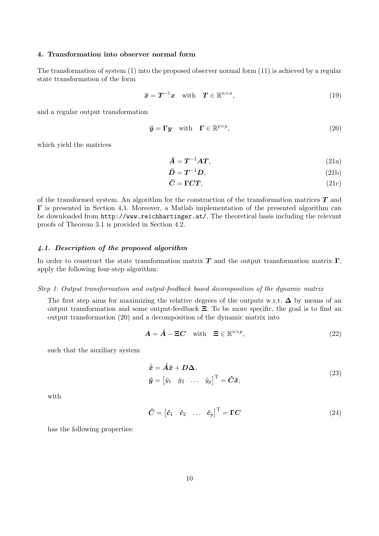# 4. Transformation into observer normal form

The transformation of system (1) into the proposed observer normal form (11) is achieved by a regular state transformation of the form

$$
\bar{x} = T^{-1}x \quad \text{with} \quad T \in \mathbb{R}^{n \times n}, \tag{19}
$$

and a regular output transformation

$$
\bar{\mathbf{y}} = \Gamma \mathbf{y} \quad \text{with} \quad \Gamma \in \mathbb{R}^{p \times p}, \tag{20}
$$

which yield the matrices

$$
\bar{A} = T^{-1}AT,\t(21a)
$$

$$
\bar{D} = T^{-1}D,\tag{21b}
$$

$$
\bar{C} = \Gamma C T, \qquad (21c)
$$

of the transformed system. An algorithm for the construction of the transformation matrices  $T$  and Γ is presented in Section 4.1. Moreover, a Matlab implementation of the presented algorithm can be downloaded from http://www.reichhartinger.at/. The theoretical basis including the relevant proofs of Theorem 3.1 is provided in Section 4.2.

### 4.1. Description of the proposed algorithm

In order to construct the state transformation matrix  $T$  and the output transformation matrix  $\Gamma$ , apply the following four-step algorithm:

#### Step 1: Output transformation and output-feedback based decomposition of the dynamic matrix

The first step aims for maximizing the relative degrees of the outputs w.r.t.  $\Delta$  by means of an output transformation and some output-feedback Ξ. To be more specific, the goal is to find an output transformation (20) and a decomposition of the dynamic matrix into

$$
A = \check{A} - \Xi C \quad \text{with} \quad \Xi \in \mathbb{R}^{n \times p}, \tag{22}
$$

such that the auxiliary system

$$
\dot{\tilde{x}} = \tilde{A}\tilde{x} + D\Delta,
$$
  
\n
$$
\tilde{y} = \begin{bmatrix} \tilde{y}_1 & \tilde{y}_2 & \dots & \tilde{y}_p \end{bmatrix}^{\mathrm{T}} = \tilde{C}\tilde{x},
$$
\n(23)

with

$$
\check{\mathbf{C}} = \begin{bmatrix} \check{\mathbf{c}}_1 & \check{\mathbf{c}}_2 & \dots & \check{\mathbf{c}}_p \end{bmatrix}^\mathrm{T} = \mathbf{\Gamma}\mathbf{C} \tag{24}
$$

has the following properties: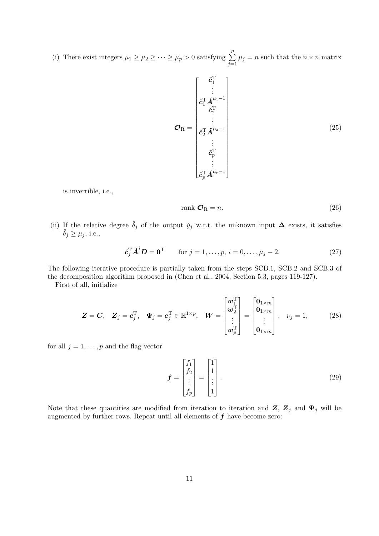(i) There exist integers  $\mu_1 \geq \mu_2 \geq \cdots \geq \mu_p > 0$  satisfying  $\sum$ p  $\sum_{j=1} \mu_j = n$  such that the  $n \times n$  matrix

$$
\mathcal{O}_{R} = \begin{bmatrix} \check{c}_{1}^{T} \\ \vdots \\ \check{c}_{1}^{T} \check{A}^{\mu_{1}-1} \\ \check{c}_{2}^{T} \\ \vdots \\ \check{c}_{2}^{T} \check{A}^{\mu_{2}-1} \\ \vdots \\ \check{c}_{p}^{T} \\ \vdots \\ \check{c}_{p}^{T} \check{A}^{\mu_{p}-1} \end{bmatrix}
$$
(25)

is invertible, i.e.,

$$
rank \mathcal{O}_R = n. \tag{26}
$$

(ii) If the relative degree  $\check{\delta}_j$  of the output  $\check{y}_j$  w.r.t. the unknown input  $\Delta$  exists, it satisfies  $\check{\delta}_j \geq \mu_j$ , i.e.,

$$
\check{\mathbf{c}}_j^{\mathrm{T}} \check{A}^i \mathbf{D} = \mathbf{0}^{\mathrm{T}} \qquad \text{for } j = 1, \dots, p, \, i = 0, \dots, \mu_j - 2. \tag{27}
$$

The following iterative procedure is partially taken from the steps SCB.1, SCB.2 and SCB.3 of the decomposition algorithm proposed in (Chen et al., 2004, Section 5.3, pages 119-127).

First of all, initialize

$$
\boldsymbol{Z} = \boldsymbol{C}, \quad \boldsymbol{Z}_j = \boldsymbol{c}_j^{\mathrm{T}}, \quad \boldsymbol{\Psi}_j = \boldsymbol{e}_j^{\mathrm{T}} \in \mathbb{R}^{1 \times p}, \quad \boldsymbol{W} = \begin{bmatrix} \boldsymbol{w}_1^{\mathrm{T}} \\ \boldsymbol{w}_2^{\mathrm{T}} \\ \vdots \\ \boldsymbol{w}_p^{\mathrm{T}} \end{bmatrix} = \begin{bmatrix} \boldsymbol{0}_{1 \times m} \\ \boldsymbol{0}_{1 \times m} \\ \vdots \\ \boldsymbol{0}_{1 \times m} \end{bmatrix}, \quad \nu_j = 1, \tag{28}
$$

for all  $j = 1, \ldots, p$  and the flag vector

$$
\boldsymbol{f} = \begin{bmatrix} f_1 \\ f_2 \\ \vdots \\ f_p \end{bmatrix} = \begin{bmatrix} 1 \\ 1 \\ \vdots \\ 1 \end{bmatrix} . \tag{29}
$$

Note that these quantities are modified from iteration to iteration and  $Z$ ,  $Z_j$  and  $\Psi_j$  will be augmented by further rows. Repeat until all elements of  $f$  have become zero: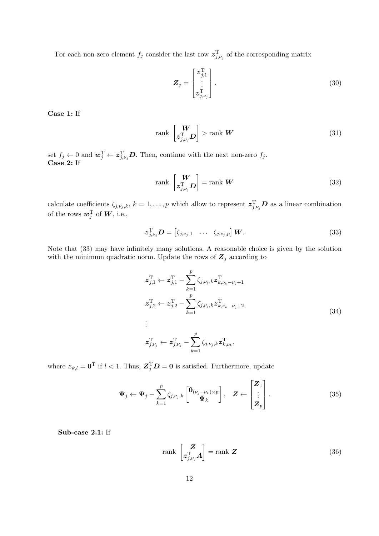For each non-zero element  $f_j$  consider the last row  $\mathcal{z}_{j,\nu_j}^{\mathrm{T}}$  of the corresponding matrix

$$
\boldsymbol{Z}_{j} = \begin{bmatrix} z_{j,1}^{\mathrm{T}} \\ \vdots \\ z_{j,\nu_{j}}^{\mathrm{T}} \end{bmatrix} . \tag{30}
$$

Case 1: If

$$
\operatorname{rank}\left[\begin{matrix} \mathbf{W} \\ \mathbf{z}_{j,\nu_j}^{\mathrm{T}} \mathbf{D} \end{matrix}\right] > \operatorname{rank} \mathbf{W} \tag{31}
$$

set  $f_j \leftarrow 0$  and  $\boldsymbol{w}_j^{\mathrm{T}} \leftarrow \boldsymbol{z}_{j,\nu_j}^{\mathrm{T}} \boldsymbol{D}$ . Then, continue with the next non-zero  $f_j$ . Case 2: If

$$
\text{rank}\,\begin{bmatrix} \mathbf{W} \\ \mathbf{z}_{j,\nu_j}^{\mathrm{T}} \mathbf{D} \end{bmatrix} = \text{rank}\,\mathbf{W} \tag{32}
$$

calculate coefficients  $\zeta_{j,\nu_j,k}, k = 1,\ldots,p$  which allow to represent  $\boldsymbol{z}_{j,\nu_j}^T \boldsymbol{D}$  as a linear combination of the rows  $\boldsymbol{w}_j^\text{T}$  of  $\boldsymbol{W},$  i.e.,

$$
\boldsymbol{z}_{j,\nu_j}^{\mathrm{T}} \boldsymbol{D} = \begin{bmatrix} \zeta_{j,\nu_j,1} & \dots & \zeta_{j,\nu_j,p} \end{bmatrix} \boldsymbol{W}.
$$
 (33)

Note that (33) may have infinitely many solutions. A reasonable choice is given by the solution with the minimum quadratic norm. Update the rows of  $\mathbf{Z}_j$  according to

$$
z_{j,1}^{\mathrm{T}} \leftarrow z_{j,1}^{\mathrm{T}} - \sum_{k=1}^{p} \zeta_{j,\nu_{j},k} z_{k,\nu_{k}-\nu_{j}+1}^{\mathrm{T}}
$$
  
\n
$$
z_{j,2}^{\mathrm{T}} \leftarrow z_{j,2}^{\mathrm{T}} - \sum_{k=1}^{p} \zeta_{j,\nu_{j},k} z_{k,\nu_{k}-\nu_{j}+2}^{\mathrm{T}}
$$
  
\n
$$
\vdots
$$
  
\n
$$
z_{j,\nu_{j}}^{\mathrm{T}} \leftarrow z_{j,\nu_{j}}^{\mathrm{T}} - \sum_{k=1}^{p} \zeta_{j,\nu_{j},k} z_{k,\nu_{k}}^{\mathrm{T}},
$$
  
\n(34)

where  $\boldsymbol{z}_{k,l} = \boldsymbol{0}^{\mathrm{T}}$  if  $l < 1$ . Thus,  $\boldsymbol{Z}_{j}^{\mathrm{T}} \boldsymbol{D} = \boldsymbol{0}$  is satisfied. Furthermore, update

$$
\Psi_j \leftarrow \Psi_j - \sum_{k=1}^p \zeta_{j,\nu_j,k} \begin{bmatrix} \mathbf{0}_{(\nu_j - \nu_k) \times p} \\ \Psi_k \end{bmatrix}, \quad \mathbf{Z} \leftarrow \begin{bmatrix} \mathbf{Z}_1 \\ \vdots \\ \mathbf{Z}_p \end{bmatrix} . \tag{35}
$$

Sub-case 2.1: If

$$
\text{rank}\,\left[\begin{matrix} \mathbf{Z} \\ \mathbf{z}_{j,\nu_j}^{\mathrm{T}} \mathbf{A} \end{matrix}\right] = \text{rank}\,\mathbf{Z} \tag{36}
$$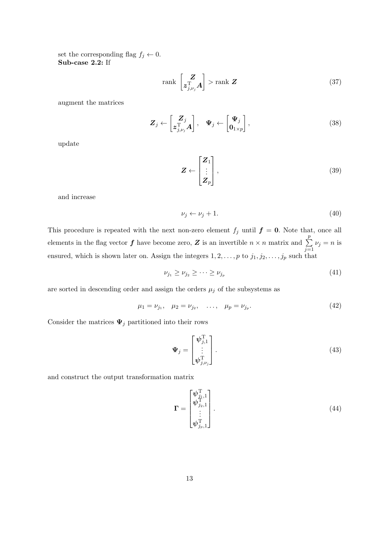set the corresponding flag  $f_j \leftarrow 0$ . Sub-case 2.2: If

$$
\operatorname{rank}\left[\begin{matrix} Z\\ z_{j,\nu_j}^{\mathrm{T}} A \end{matrix}\right] > \operatorname{rank} Z
$$
\n(37)

augment the matrices

$$
\mathbf{Z}_{j} \leftarrow \begin{bmatrix} \mathbf{Z}_{j} \\ \mathbf{z}_{j,\nu_{j}}^{T} \mathbf{A} \end{bmatrix}, \quad \mathbf{\Psi}_{j} \leftarrow \begin{bmatrix} \mathbf{\Psi}_{j} \\ \mathbf{0}_{1 \times p} \end{bmatrix}, \tag{38}
$$

update

$$
\mathbf{Z} \leftarrow \begin{bmatrix} \mathbf{Z}_1 \\ \vdots \\ \mathbf{Z}_p \end{bmatrix},\tag{39}
$$

and increase

$$
\nu_j \leftarrow \nu_j + 1. \tag{40}
$$

This procedure is repeated with the next non-zero element  $f_j$  until  $f = 0$ . Note that, once all elements in the flag vector  $f$  have become zero,  $Z$  is an invertible  $n \times n$  matrix and  $\sum$ p  $j=1$  $\nu_j = n$  is ensured, which is shown later on. Assign the integers  $1, 2, \ldots, p$  to  $j_1, j_2, \ldots, j_p$  such that

$$
\nu_{j_1} \ge \nu_{j_2} \ge \cdots \ge \nu_{j_p} \tag{41}
$$

are sorted in descending order and assign the orders  $\mu_j$  of the subsystems as

$$
\mu_1 = \nu_{j_1}, \quad \mu_2 = \nu_{j_2}, \quad \dots, \quad \mu_p = \nu_{j_p}.\tag{42}
$$

Consider the matrices  $\Psi_j$  partitioned into their rows

$$
\mathbf{\Psi}_j = \begin{bmatrix} \boldsymbol{\psi}_{j,1}^{\mathrm{T}} \\ \vdots \\ \boldsymbol{\psi}_{j,\nu_j}^{\mathrm{T}} \end{bmatrix} . \tag{43}
$$

and construct the output transformation matrix

$$
\mathbf{\Gamma} = \begin{bmatrix} \boldsymbol{\psi}_{j_1,1}^{\mathrm{T}} \\ \boldsymbol{\psi}_{j_2,1}^{\mathrm{T}} \\ \vdots \\ \boldsymbol{\psi}_{j_p,1}^{\mathrm{T}} \end{bmatrix} . \tag{44}
$$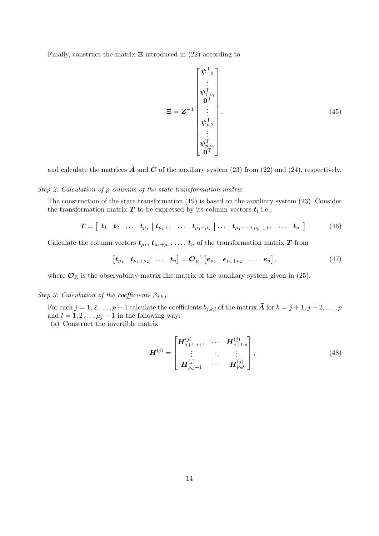Finally, construct the matrix  $\Xi$  introduced in (22) according to

$$
\mathbf{\Xi} = \mathbf{Z}^{-1} \begin{bmatrix} \psi_{1,2}^{\mathrm{T}} \\ \vdots \\ \psi_{1,\nu_{1}}^{\mathrm{T}} \\ \mathbf{0}^{\mathrm{T}} \\ \vdots \\ \psi_{p,2}^{\mathrm{T}} \\ \vdots \\ \psi_{p,\nu_{p}}^{\mathrm{T}} \end{bmatrix}, \tag{45}
$$

and calculate the matrices  $\check{A}$  and  $\check{C}$  of the auxiliary system (23) from (22) and (24), respectively.

### Step 2: Calculation of p columns of the state transformation matrix

The construction of the state transformation (19) is based on the auxiliary system (23). Consider the transformation matrix  $T$  to be expressed by its column vectors  $t_i$  i.e.,

$$
T = [t_1 \ t_2 \ \ldots \ t_{\mu_1} \ | \ t_{\mu_1+1} \ \ldots \ t_{\mu_1+\mu_2} \ | \ \ldots \ | \ t_{\mu_1+\cdots+\mu_{p-1}+1} \ \ldots \ t_n \ ]. \tag{46}
$$

Calculate the column vectors  $t_{\mu_1}, t_{\mu_1+\mu_2}, \ldots, t_n$  of the transformation matrix  $T$  from

$$
\begin{bmatrix} \bm{t}_{\mu_1} & \bm{t}_{\mu_1+\mu_2} & \dots & \bm{t}_n \end{bmatrix} = \bm{\mathcal{O}}_{\rm R}^{-1} \begin{bmatrix} \bm{e}_{\mu_1} & \bm{e}_{\mu_1+\mu_2} & \dots & \bm{e}_n \end{bmatrix}, \qquad (47)
$$

where  $\mathcal{O}_{\rm R}$  is the observability matrix like matrix of the auxiliary system given in (25).

## Step 3: Calculation of the coefficients  $\beta_{j,k,l}$

For each  $j = 1, 2, \ldots, p - 1$  calculate the coefficients  $b_{j,k,l}$  of the matrix  $\bar{A}$  for  $k = j + 1, j + 2, \ldots, p$ and  $l = 1, 2, \ldots, \mu_j - 1$  in the following way: (a) Construct the invertible matrix

$$
\boldsymbol{H}^{(j)} = \begin{bmatrix} \boldsymbol{H}_{j+1,j+1}^{(j)} & \cdots & \boldsymbol{H}_{j+1,p}^{(j)} \\ \vdots & \ddots & \vdots \\ \boldsymbol{H}_{p,j+1}^{(j)} & \cdots & \boldsymbol{H}_{p,p}^{(j)} \end{bmatrix},
$$
(48)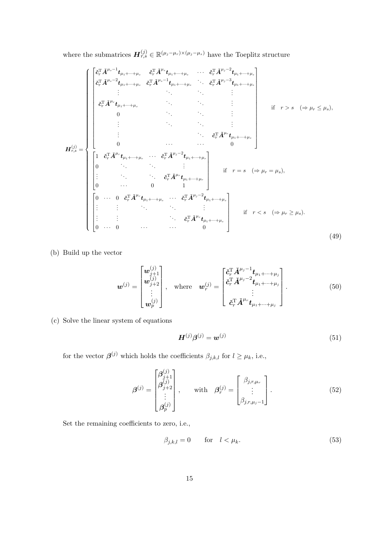where the submatrices  $\mathbf{H}_{r,s}^{(j)} \in \mathbb{R}^{(\mu_j - \mu_r) \times (\mu_j - \mu_s)}$  have the Toeplitz structure

$$
H_{r,s}^{(j)} = \begin{cases} \begin{bmatrix} \tilde{c}_{r}^{T} \tilde{A}^{\mu_{s-1}} t_{\mu_{1} + \dots + \mu_{s}} & \tilde{c}_{r}^{T} \tilde{A}^{\mu_{s-1}} t_{\mu_{1} + \dots + \mu_{s}} & \cdots & \tilde{c}_{r}^{T} \tilde{A}^{\mu_{j-2}} t_{\mu_{1} + \dots + \mu_{s}} \\ \vdots & \ddots & \vdots & \vdots \\ \tilde{c}_{r}^{T} \tilde{A}^{\mu_{r}} t_{\mu_{1} + \dots + \mu_{s}} & \tilde{c}_{r}^{T} \tilde{A}^{\mu_{s-1}} t_{\mu_{1} + \dots + \mu_{s}} & \cdots & \tilde{c}_{r}^{T} \tilde{A}^{\mu_{j-3}} t_{\mu_{1} + \dots + \mu_{s}} \\ 0 & \ddots & \ddots & \vdots \\ \vdots & \ddots & \ddots & \vdots \\ \vdots & \ddots & \ddots & \vdots \\ 0 & \cdots & \cdots & 0 \end{bmatrix} & \text{if } r > s \ (\Rightarrow \mu_{r} \le \mu_{s}),
$$
  
\n
$$
H_{r,s}^{(j)} = \begin{cases} 1 & \tilde{c}_{r}^{T} \tilde{A}^{\mu_{r}} t_{\mu_{1} + \dots + \mu_{r}} & \cdots & \tilde{c}_{r}^{T} \tilde{A}^{\mu_{j-2}} t_{\mu_{1} + \dots + \mu_{r}} \\ 0 & \cdots & \cdots & 0 \\ \vdots & \ddots & \ddots & \vdots \\ \vdots & \ddots & \ddots & \vdots \\ \vdots & \ddots & \ddots & \vdots \\ \vdots & \ddots & \ddots & \vdots \\ \vdots & \ddots & \ddots & \vdots \\ \vdots & \ddots & \ddots & \vdots \\ \vdots & \ddots & \ddots & \vdots \\ \vdots & \ddots & \ddots & \vdots \\ \vdots & \ddots & \ddots & \vdots \\ \vdots & \ddots & \ddots & \vdots \\ \vdots & \ddots & \ddots & \vdots \\ \vdots & \ddots & \ddots & \vdots \\ \vdots & \ddots & \ddots & \vdots \\ \vdots & \ddots & \ddots & \vdots \\ \vdots & \ddots & \ddots & \vdots \\ \end{b
$$

(b) Build up the vector

$$
\mathbf{w}^{(j)} = \begin{bmatrix} \mathbf{w}_{j+1}^{(j)} \\ \mathbf{w}_{j+2}^{(j)} \\ \vdots \\ \mathbf{w}_p^{(j)} \end{bmatrix}, \text{ where } \mathbf{w}_r^{(j)} = \begin{bmatrix} \mathbf{\tilde{c}}_r^{\mathrm{T}} \tilde{\mathbf{A}}^{\mu_j - 1} \mathbf{t}_{\mu_1 + \dots + \mu_j} \\ \mathbf{\tilde{c}}_r^{\mathrm{T}} \tilde{\mathbf{A}}^{\mu_j - 2} \mathbf{t}_{\mu_1 + \dots + \mu_j} \\ \vdots \\ \mathbf{\tilde{c}}_r^{\mathrm{T}} \tilde{\mathbf{A}}^{\mu_r} \mathbf{t}_{\mu_1 + \dots + \mu_j} \end{bmatrix} . \tag{50}
$$

(c) Solve the linear system of equations

$$
\boldsymbol{H}^{(j)}\boldsymbol{\beta}^{(j)} = \boldsymbol{w}^{(j)}\tag{51}
$$

for the vector  $\beta^{(j)}$  which holds the coefficients  $\beta_{j,k,l}$  for  $l \geq \mu_k$ , i.e.,

$$
\beta^{(j)} = \begin{bmatrix} \beta_{j+1}^{(j)} \\ \beta_{j+2}^{(j)} \\ \vdots \\ \beta_p^{(j)} \end{bmatrix}, \quad \text{with} \quad \beta_r^{(j)} = \begin{bmatrix} \beta_{j,r,\mu_r} \\ \vdots \\ \beta_{j,r,\mu_j-1} \end{bmatrix}.
$$
 (52)

Set the remaining coefficients to zero, i.e.,

$$
\beta_{j,k,l} = 0 \qquad \text{for} \quad l < \mu_k. \tag{53}
$$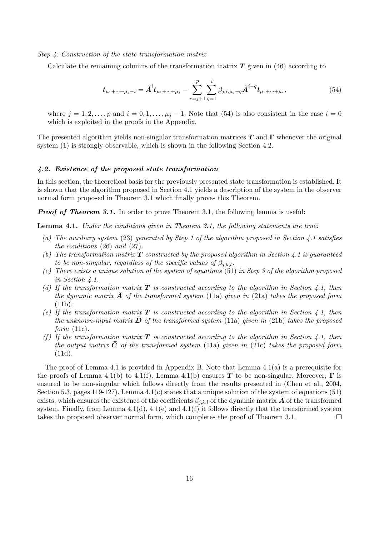Step 4: Construction of the state transformation matrix

Calculate the remaining columns of the transformation matrix  $T$  given in (46) according to

$$
\boldsymbol{t}_{\mu_1+\cdots+\mu_j-i} = \boldsymbol{A}^i \boldsymbol{t}_{\mu_1+\cdots+\mu_j} - \sum_{r=j+1}^p \sum_{q=1}^i \beta_{j,r,\mu_j-q} \boldsymbol{A}^{i-q} \boldsymbol{t}_{\mu_1+\cdots+\mu_r},
$$
(54)

where  $j = 1, 2, \ldots, p$  and  $i = 0, 1, \ldots, \mu_j - 1$ . Note that (54) is also consistent in the case  $i = 0$ which is exploited in the proofs in the Appendix.

The presented algorithm yields non-singular transformation matrices  $T$  and  $\Gamma$  whenever the original system (1) is strongly observable, which is shown in the following Section 4.2.

#### 4.2. Existence of the proposed state transformation

In this section, the theoretical basis for the previously presented state transformation is established. It is shown that the algorithm proposed in Section 4.1 yields a description of the system in the observer normal form proposed in Theorem 3.1 which finally proves this Theorem.

**Proof of Theorem 3.1.** In order to prove Theorem 3.1, the following lemma is useful:

Lemma 4.1. Under the conditions given in Theorem 3.1, the following statements are true:

- (a) The auxiliary system (23) generated by Step 1 of the algorithm proposed in Section 4.1 satisfies the conditions (26) and (27).
- (b) The transformation matrix  $\bf{T}$  constructed by the proposed algorithm in Section 4.1 is quaranteed to be non-singular, regardless of the specific values of  $\beta_{i,k,l}$ .
- (c) There exists a unique solution of the system of equations (51) in Step 3 of the algorithm proposed in Section 4.1.
- (d) If the transformation matrix  $\bf{T}$  is constructed according to the algorithm in Section 4.1, then the dynamic matrix  $\overline{A}$  of the transformed system (11a) given in (21a) takes the proposed form (11b).
- (e) If the transformation matrix  $\bf{T}$  is constructed according to the algorithm in Section 4.1, then the unknown-input matrix  $\bar{\mathbf{D}}$  of the transformed system (11a) given in (21b) takes the proposed form  $(11c)$ .
- (f) If the transformation matrix  $T$  is constructed according to the algorithm in Section 4.1, then the output matrix  $\bar{C}$  of the transformed system (11a) given in (21c) takes the proposed form (11d).

The proof of Lemma 4.1 is provided in Appendix B. Note that Lemma 4.1(a) is a prerequisite for the proofs of Lemma 4.1(b) to 4.1(f). Lemma 4.1(b) ensures T to be non-singular. Moreover,  $\Gamma$  is ensured to be non-singular which follows directly from the results presented in (Chen et al., 2004, Section 5.3, pages 119-127). Lemma 4.1(c) states that a unique solution of the system of equations (51) exists, which ensures the existence of the coefficients  $\beta_{j,k,l}$  of the dynamic matrix  $\bar{A}$  of the transformed system. Finally, from Lemma  $4.1(d)$ ,  $4.1(e)$  and  $4.1(f)$  it follows directly that the transformed system takes the proposed observer normal form, which completes the proof of Theorem 3.1.  $\Box$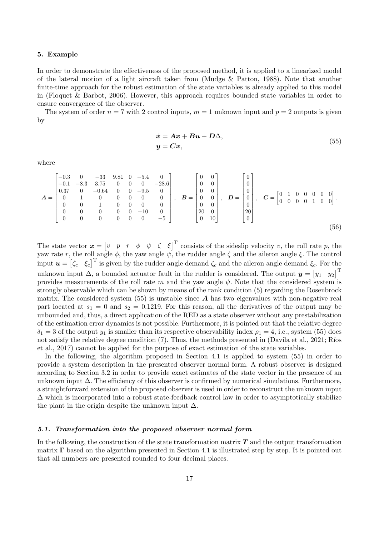### 5. Example

In order to demonstrate the effectiveness of the proposed method, it is applied to a linearized model of the lateral motion of a light aircraft taken from (Mudge & Patton, 1988). Note that another finite-time approach for the robust estimation of the state variables is already applied to this model in (Floquet & Barbot, 2006). However, this approach requires bounded state variables in order to ensure convergence of the observer.

The system of order  $n = 7$  with 2 control inputs,  $m = 1$  unknown input and  $p = 2$  outputs is given by

$$
\begin{aligned} \dot{x} &= Ax + Bu + D\Delta, \\ y &= Cx, \end{aligned} \tag{55}
$$

where

$$
A = \begin{bmatrix} -0.3 & 0 & -33 & 9.81 & 0 & -5.4 & 0 \\ -0.1 & -8.3 & 3.75 & 0 & 0 & 0 & -28.6 \\ 0.37 & 0 & -0.64 & 0 & 0 & -9.5 & 0 \\ 0 & 1 & 0 & 0 & 0 & 0 & 0 \\ 0 & 0 & 1 & 0 & 0 & 0 & 0 \\ 0 & 0 & 0 & 0 & 0 & 0 & -10 & 0 \\ 0 & 0 & 0 & 0 & 0 & 0 & -5 \end{bmatrix}, B = \begin{bmatrix} 0 & 0 \\ 0 & 0 \\ 0 & 0 \\ 0 & 0 \\ 20 & 0 \\ 0 & 10 \end{bmatrix}, D = \begin{bmatrix} 0 \\ 0 \\ 0 \\ 0 \\ 0 \\ 20 \\ 0 \end{bmatrix}, C = \begin{bmatrix} 0 & 1 & 0 & 0 & 0 & 0 \\ 0 & 1 & 0 & 0 & 0 & 0 \\ 0 & 0 & 0 & 1 & 0 & 0 \end{bmatrix}.
$$
 (56)

The state vector  $\boldsymbol{x} = \begin{bmatrix} v & p & r & \phi & \psi & \zeta & \xi \end{bmatrix}^T$  consists of the sideslip velocity v, the roll rate p, the yaw rate r, the roll angle  $\phi$ , the yaw angle  $\psi$ , the rudder angle  $\zeta$  and the aileron angle  $\xi$ . The control input  $u = [\zeta_c \quad \xi_c]^{\text{T}}$  is given by the rudder angle demand  $\zeta_c$  and the aileron angle demand  $\xi_c$ . For the unknown input  $\Delta$ , a bounded actuator fault in the rudder is considered. The output  $y = \begin{bmatrix} y_1 & y_2 \end{bmatrix}^T$ provides measurements of the roll rate m and the yaw angle  $\psi$ . Note that the considered system is strongly observable which can be shown by means of the rank condition (5) regarding the Rosenbrock matrix. The considered system  $(55)$  is unstable since A has two eigenvalues with non-negative real part located at  $s_1 = 0$  and  $s_2 = 0.1219$ . For this reason, all the derivatives of the output may be unbounded and, thus, a direct application of the RED as a state observer without any prestabilization of the estimation error dynamics is not possible. Furthermore, it is pointed out that the relative degree  $\delta_1 = 3$  of the output  $y_1$  is smaller than its respective observability index  $\rho_1 = 4$ , i.e., system (55) does not satisfy the relative degree condition  $(7)$ . Thus, the methods presented in (Davila et al., 2021; Ríos et al., 2017) cannot be applied for the purpose of exact estimation of the state variables.

In the following, the algorithm proposed in Section 4.1 is applied to system (55) in order to provide a system description in the presented observer normal form. A robust observer is designed according to Section 3.2 in order to provide exact estimates of the state vector in the presence of an unknown input  $\Delta$ . The efficiency of this observer is confirmed by numerical simulations. Furthermore, a straightforward extension of the proposed observer is used in order to reconstruct the unknown input  $\Delta$  which is incorporated into a robust state-feedback control law in order to asymptotically stabilize the plant in the origin despite the unknown input  $\Delta$ .

### 5.1. Transformation into the proposed observer normal form

In the following, the construction of the state transformation matrix  $T$  and the output transformation matrix Γ based on the algorithm presented in Section 4.1 is illustrated step by step. It is pointed out that all numbers are presented rounded to four decimal places.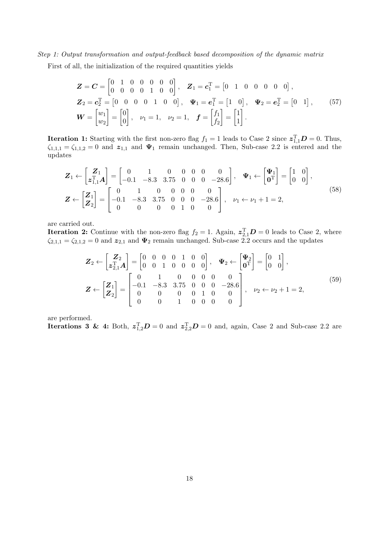Step 1: Output transformation and output-feedback based decomposition of the dynamic matrix

First of all, the initialization of the required quantities yields

$$
\mathbf{Z} = \mathbf{C} = \begin{bmatrix} 0 & 1 & 0 & 0 & 0 & 0 & 0 \\ 0 & 0 & 0 & 0 & 1 & 0 & 0 \end{bmatrix}, \quad \mathbf{Z}_1 = \mathbf{c}_1^{\mathrm{T}} = \begin{bmatrix} 0 & 1 & 0 & 0 & 0 & 0 & 0 \end{bmatrix},
$$
  
\n
$$
\mathbf{Z}_2 = \mathbf{c}_2^{\mathrm{T}} = \begin{bmatrix} 0 & 0 & 0 & 0 & 1 & 0 & 0 \end{bmatrix}, \quad \mathbf{\Psi}_1 = \mathbf{e}_1^{\mathrm{T}} = \begin{bmatrix} 1 & 0 \end{bmatrix}, \quad \mathbf{\Psi}_2 = \mathbf{e}_2^{\mathrm{T}} = \begin{bmatrix} 0 & 1 \end{bmatrix}, \quad (57)
$$
  
\n
$$
\mathbf{W} = \begin{bmatrix} w_1 \\ w_2 \end{bmatrix} = \begin{bmatrix} 0 \\ 0 \end{bmatrix}, \quad \nu_1 = 1, \quad \nu_2 = 1, \quad \mathbf{f} = \begin{bmatrix} f_1 \\ f_2 \end{bmatrix} = \begin{bmatrix} 1 \\ 1 \end{bmatrix}.
$$

**Iteration 1:** Starting with the first non-zero flag  $f_1 = 1$  leads to Case 2 since  $\boldsymbol{z}_{1,1}^{\mathrm{T}}\boldsymbol{D} = 0$ . Thus,  $\zeta_{1,1,1} = \zeta_{1,1,2} = 0$  and  $\mathbf{z}_{1,1}$  and  $\Psi_1$  remain unchanged. Then, Sub-case 2.2 is entered and the updates

$$
\mathbf{Z}_{1} \leftarrow \begin{bmatrix} \mathbf{Z}_{1} \\ \mathbf{z}_{1,1}^{T} \mathbf{A} \end{bmatrix} = \begin{bmatrix} 0 & 1 & 0 & 0 & 0 & 0 & 0 \\ -0.1 & -8.3 & 3.75 & 0 & 0 & 0 & -28.6 \end{bmatrix}, \quad \mathbf{\Psi}_{1} \leftarrow \begin{bmatrix} \mathbf{\Psi}_{1} \\ \mathbf{0}^{T} \end{bmatrix} = \begin{bmatrix} 1 & 0 \\ 0 & 0 \end{bmatrix},
$$
\n
$$
\mathbf{Z} \leftarrow \begin{bmatrix} \mathbf{Z}_{1} \\ \mathbf{Z}_{2} \end{bmatrix} = \begin{bmatrix} 0 & 1 & 0 & 0 & 0 & 0 & 0 \\ -0.1 & -8.3 & 3.75 & 0 & 0 & 0 & -28.6 \\ 0 & 0 & 0 & 0 & 1 & 0 & 0 \end{bmatrix}, \quad \nu_{1} \leftarrow \nu_{1} + 1 = 2,
$$
\n(58)

are carried out.

**Iteration 2:** Continue with the non-zero flag  $f_2 = 1$ . Again,  $z_{2,1}^T D = 0$  leads to Case 2, where  $\zeta_{2,1,1} = \zeta_{2,1,2} = 0$  and  $\mathbf{z}_{2,1}$  and  $\Psi_2$  remain unchanged. Sub-case 2.2 occurs and the updates

$$
\mathbf{Z}_{2} \leftarrow \begin{bmatrix} \mathbf{Z}_{2} \\ \mathbf{z}_{2,1}^{T} \mathbf{A} \end{bmatrix} = \begin{bmatrix} 0 & 0 & 0 & 0 & 1 & 0 & 0 \\ 0 & 0 & 1 & 0 & 0 & 0 & 0 \end{bmatrix}, \quad \mathbf{\Psi}_{2} \leftarrow \begin{bmatrix} \mathbf{\Psi}_{2} \\ \mathbf{0}^{T} \end{bmatrix} = \begin{bmatrix} 0 & 1 \\ 0 & 0 \end{bmatrix},
$$
\n
$$
\mathbf{Z} \leftarrow \begin{bmatrix} \mathbf{Z}_{1} \\ \mathbf{Z}_{2} \end{bmatrix} = \begin{bmatrix} 0 & 1 & 0 & 0 & 0 & 0 & 0 \\ -0.1 & -8.3 & 3.75 & 0 & 0 & 0 & -28.6 \\ 0 & 0 & 0 & 1 & 0 & 0 & 0 \\ 0 & 0 & 1 & 0 & 0 & 0 & 0 \end{bmatrix}, \quad \nu_{2} \leftarrow \nu_{2} + 1 = 2,
$$
\n(59)

are performed.

**Iterations 3 & 4:** Both,  $z_{1,2}^T D = 0$  and  $z_{2,2}^T D = 0$  and, again, Case 2 and Sub-case 2.2 are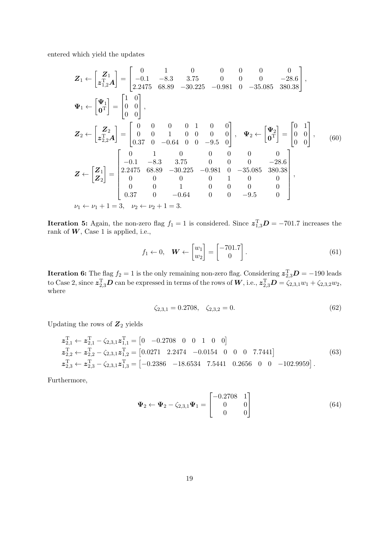entered which yield the updates

$$
Z_{1} \leftarrow \begin{bmatrix} Z_{1} \\ z_{1,2}^{T} A \end{bmatrix} = \begin{bmatrix} 0 & 1 & 0 & 0 & 0 & 0 & 0 & 0 \\ -0.1 & -8.3 & 3.75 & 0 & 0 & 0 & -28.6 \\ 2.2475 & 68.89 & -30.225 & -0.981 & 0 & -35.085 & 380.38 \end{bmatrix},
$$
  
\n
$$
\Psi_{1} \leftarrow \begin{bmatrix} \Psi_{1} \\ \mathbf{0}^{T} \end{bmatrix} = \begin{bmatrix} 1 & 0 \\ 0 & 0 \\ 0 & 0 \end{bmatrix},
$$
  
\n
$$
Z_{2} \leftarrow \begin{bmatrix} Z_{2} \\ z_{2,2}^{T} A \end{bmatrix} = \begin{bmatrix} 0 & 0 & 0 & 0 & 1 & 0 & 0 \\ 0 & 0 & 1 & 0 & 0 & 0 \\ 0.37 & 0 & -0.64 & 0 & 0 & -9.5 & 0 \end{bmatrix}, \quad \Psi_{2} \leftarrow \begin{bmatrix} \Psi_{2} \\ \mathbf{0}^{T} \end{bmatrix} = \begin{bmatrix} 0 & 1 \\ 0 & 0 \\ 0 & 0 \end{bmatrix}, \quad (60)
$$
  
\n
$$
Z \leftarrow \begin{bmatrix} Z_{1} \\ Z_{2} \end{bmatrix} = \begin{bmatrix} 0 & 1 & 0 & 0 & 0 & 0 & 0 \\ 2.2475 & 68.89 & -30.225 & -0.981 & 0 & -35.085 & 380.38 \\ 2.2475 & 68.89 & -30.225 & -0.981 & 0 & -35.085 & 380.38 \\ 0 & 0 & 0 & 0 & 1 & 0 & 0 & 0 \\ 0.37 & 0 & -0.64 & 0 & 0 & -9.5 & 0 \end{bmatrix},
$$
  
\n
$$
\nu_{1} \leftarrow \nu_{1} + 1 = 3, \quad \nu_{2} \leftarrow \nu_{2} + 1 = 3.
$$

**Iteration 5:** Again, the non-zero flag  $f_1 = 1$  is considered. Since  $z_{1,3}^T D = -701.7$  increases the rank of  $W$ , Case 1 is applied, i.e.,

$$
f_1 \leftarrow 0, \quad \mathbf{W} \leftarrow \begin{bmatrix} w_1 \\ w_2 \end{bmatrix} = \begin{bmatrix} -701.7 \\ 0 \end{bmatrix}.
$$
 (61)

**Iteration 6:** The flag  $f_2 = 1$  is the only remaining non-zero flag. Considering  $\boldsymbol{z}_{2,3}^T \boldsymbol{D} = -190$  leads to Case 2, since  $\bm{z}_{2,3}^{\text{T}}\bm{D}$  can be expressed in terms of the rows of  $\bm{W}$ , i.e.,  $\bm{z}_{2,3}^{\text{T}}\bm{D} = \zeta_{2,3,1}w_1 + \zeta_{2,3,2}w_2$ , where

$$
\zeta_{2,3,1} = 0.2708, \quad \zeta_{2,3,2} = 0. \tag{62}
$$

Updating the rows of  $\mathbb{Z}_2$  yields

$$
z_{2,1}^{\mathrm{T}} \leftarrow z_{2,1}^{\mathrm{T}} - \zeta_{2,3,1} z_{1,1}^{\mathrm{T}} = [0 \ -0.2708 \ 0 \ 0 \ 1 \ 0 \ 0]
$$
  
\n
$$
z_{2,2}^{\mathrm{T}} \leftarrow z_{2,2}^{\mathrm{T}} - \zeta_{2,3,1} z_{1,2}^{\mathrm{T}} = [0.0271 \ 2.2474 \ -0.0154 \ 0 \ 0 \ 0 \ 7.7441]
$$
  
\n
$$
z_{2,3}^{\mathrm{T}} \leftarrow z_{2,3}^{\mathrm{T}} - \zeta_{2,3,1} z_{1,3}^{\mathrm{T}} = [-0.2386 \ -18.6534 \ 7.5441 \ 0.2656 \ 0 \ 0 \ -102.9959].
$$
  
\n(63)

Furthermore,

$$
\Psi_2 \leftarrow \Psi_2 - \zeta_{2,3,1} \Psi_1 = \begin{bmatrix} -0.2708 & 1\\ 0 & 0\\ 0 & 0 \end{bmatrix}
$$
(64)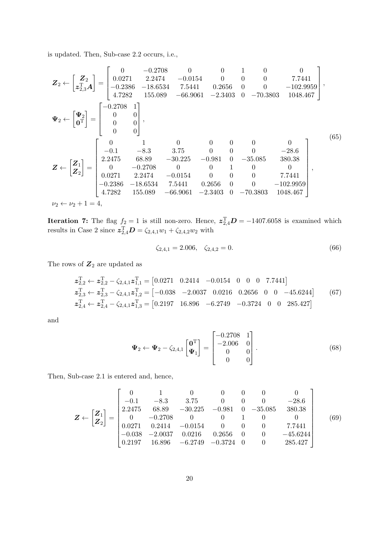is updated. Then, Sub-case 2.2 occurs, i.e.,

$$
\mathbf{Z}_{2} \leftarrow \begin{bmatrix} \mathbf{Z}_{2} \\ z_{2}^{T} \\ z_{3}^{T} \\ z_{4} \end{bmatrix} = \begin{bmatrix} 0 & -0.2708 & 0 & 0 & 1 & 0 & 0 \\ 0.0271 & 2.2474 & -0.0154 & 0 & 0 & 0 & 7.7441 \\ -0.2386 & -18.6534 & 7.5441 & 0.2656 & 0 & 0 & -102.9959 \\ 4.7282 & 155.089 & -66.9061 & -2.3403 & 0 & -70.3803 & 1048.467 \end{bmatrix},
$$
\n
$$
\mathbf{\Psi}_{2} \leftarrow \begin{bmatrix} \mathbf{\Psi}_{2} \\ \mathbf{0}^{T} \\ \mathbf{0}^{T} \end{bmatrix} = \begin{bmatrix} 0 & 1 & 0 & 0 & 0 & 0 & 0 \\ 0 & 0 & 0 & 0 & 0 & 0 & 0 \\ 0 & 0 & 0 & 0 & 0 & -28.6 \\ 2.2475 & 68.89 & -30.225 & -0.981 & 0 & -35.085 & 380.38 \\ 2.2475 & 68.89 & -30.225 & -0.981 & 0 & -35.085 & 380.38 \\ 0.0271 & 2.2474 & -0.0154 & 0 & 0 & 0 & 7.7441 \\ -0.2386 & -18.6534 & 7.5441 & 0.2656 & 0 & 0 & -102.9959 \\ 4.7282 & 155.089 & -66.9061 & -2.3403 & 0 & -70.3803 & 1048.467 \end{bmatrix},
$$
\n
$$
\mathbf{\Psi}_{2} \leftarrow \mathbf{\nu}_{2} + 1 = 4,
$$
\n(65)

**Iteration 7:** The flag  $f_2 = 1$  is still non-zero. Hence,  $z_{2,4}^T D = -1407.6058$  is examined which results in Case 2 since  $z_{2,4}^{T}D = \zeta_{2,4,1}w_1 + \zeta_{2,4,2}w_2$  with

$$
\zeta_{2,4,1} = 2.006, \quad \zeta_{2,4,2} = 0. \tag{66}
$$

The rows of  $\mathbb{Z}_2$  are updated as

$$
z_{2,2}^{\mathrm{T}} \leftarrow z_{2,2}^{\mathrm{T}} - \zeta_{2,4,1} z_{1,1}^{\mathrm{T}} = [0.0271 \quad 0.2414 \quad -0.0154 \quad 0 \quad 0 \quad 0 \quad 7.7441]
$$
  
\n
$$
z_{2,3}^{\mathrm{T}} \leftarrow z_{2,3}^{\mathrm{T}} - \zeta_{2,4,1} z_{1,2}^{\mathrm{T}} = [-0.038 \quad -2.0037 \quad 0.0216 \quad 0.2656 \quad 0 \quad 0 \quad -45.6244] \tag{67}
$$
  
\n
$$
z_{2,4}^{\mathrm{T}} \leftarrow z_{2,4}^{\mathrm{T}} - \zeta_{2,4,1} z_{1,3}^{\mathrm{T}} = [0.2197 \quad 16.896 \quad -6.2749 \quad -0.3724 \quad 0 \quad 0 \quad 285.427]
$$

and

$$
\Psi_2 \leftarrow \Psi_2 - \zeta_{2,4,1} \begin{bmatrix} \mathbf{0}^{\mathrm{T}} \\ \Psi_1 \end{bmatrix} = \begin{bmatrix} -0.2708 & 1 \\ -2.006 & 0 \\ 0 & 0 \\ 0 & 0 \end{bmatrix} . \tag{68}
$$

Then, Sub-case 2.1 is entered and, hence,

$$
\mathbf{Z} \leftarrow \begin{bmatrix} \mathbf{Z}_1 \\ \mathbf{Z}_2 \end{bmatrix} = \begin{bmatrix} 0 & 1 & 0 & 0 & 0 & 0 & 0 \\ -0.1 & -8.3 & 3.75 & 0 & 0 & 0 & -28.6 \\ 2.2475 & 68.89 & -30.225 & -0.981 & 0 & -35.085 & 380.38 \\ 0 & -0.2708 & 0 & 0 & 1 & 0 & 0 \\ 0.0271 & 0.2414 & -0.0154 & 0 & 0 & 0 & 7.7441 \\ -0.038 & -2.0037 & 0.0216 & 0.2656 & 0 & 0 & -45.6244 \\ 0.2197 & 16.896 & -6.2749 & -0.3724 & 0 & 0 & 285.427 \end{bmatrix}
$$
(69)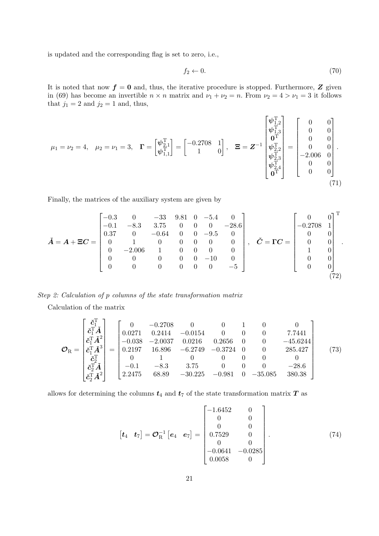is updated and the corresponding flag is set to zero, i.e.,

$$
f_2 \leftarrow 0. \tag{70}
$$

It is noted that now  $f = 0$  and, thus, the iterative procedure is stopped. Furthermore, Z given in (69) has become an invertible  $n \times n$  matrix and  $\nu_1 + \nu_2 = n$ . From  $\nu_2 = 4 > \nu_1 = 3$  it follows that  $j_1 = 2$  and  $j_2 = 1$  and, thus,

$$
\mu_1 = \nu_2 = 4, \quad \mu_2 = \nu_1 = 3, \quad \Gamma = \begin{bmatrix} \psi_{1,1}^{\mathrm{T}} \\ \psi_{1,1}^{\mathrm{T}} \\ \psi_{1,1}^{\mathrm{T}} \end{bmatrix} = \begin{bmatrix} -0.2708 & 1 \\ 1 & 0 \end{bmatrix}, \quad \Xi = \mathbf{Z}^{-1} \begin{bmatrix} \psi_{1,2}^{\mathrm{T}} \\ \psi_{1,3}^{\mathrm{T}} \\ \psi_{2,2}^{\mathrm{T}} \\ \psi_{2,3}^{\mathrm{T}} \\ \psi_{2,4}^{\mathrm{T}} \\ 0 \end{bmatrix} = \begin{bmatrix} 0 & 0 \\ 0 & 0 \\ 0 & 0 \\ -2.006 & 0 \\ 0 & 0 \\ 0 & 0 \end{bmatrix}.
$$
\n(71)

Finally, the matrices of the auxiliary system are given by

$$
\check{A} = A + \Xi C = \begin{bmatrix}\n-0.3 & 0 & -33 & 9.81 & 0 & -5.4 & 0 \\
-0.1 & -8.3 & 3.75 & 0 & 0 & 0 & -28.6 \\
0.37 & 0 & -0.64 & 0 & 0 & -9.5 & 0 \\
0 & 1 & 0 & 0 & 0 & 0 & 0 \\
0 & -2.006 & 1 & 0 & 0 & 0 & 0 \\
0 & 0 & 0 & 0 & 0 & -10 & 0 \\
0 & 0 & 0 & 0 & 0 & -5\n\end{bmatrix}, \quad \check{C} = \Gamma C = \begin{bmatrix}\n0 & 0 \\
-0.2708 & 1 \\
0 & 0 \\
1 & 0 \\
1 & 0 \\
0 & 0 \\
0 & 0\n\end{bmatrix}.
$$
\n(72)

Step 2: Calculation of p columns of the state transformation matrix

Calculation of the matrix

$$
\mathcal{O}_{R} = \begin{bmatrix} \check{c}_{1}^{T} \\ \check{c}_{1}^{T} \check{A} \\ \check{c}_{1}^{T} \check{A}^{2} \\ \check{c}_{1}^{T} \check{A}^{3} \\ \check{c}_{2}^{T} \check{A} \\ \check{c}_{2}^{T} \check{A}^{2} \end{bmatrix} = \begin{bmatrix} 0 & -0.2708 & 0 & 0 & 1 & 0 & 0 \\ 0.0271 & 0.2414 & -0.0154 & 0 & 0 & 0 & 7.7441 \\ -0.038 & -2.0037 & 0.0216 & 0.2656 & 0 & 0 & -45.6244 \\ 0.2197 & 16.896 & -6.2749 & -0.3724 & 0 & 0 & 285.427 \\ 0 & 1 & 0 & 0 & 0 & 0 & 0 \\ \check{c}_{2}^{T} \check{A}^{2} & -0.1 & -8.3 & 3.75 & 0 & 0 & 0 & -28.6 \\ 2.2475 & 68.89 & -30.225 & -0.981 & 0 & -35.085 & 380.38 \end{bmatrix} \tag{73}
$$

allows for determining the columns  $t_4$  and  $t_7$  of the state transformation matrix  $T$  as

t<sup>4</sup> t<sup>7</sup> = O−<sup>1</sup> R e<sup>4</sup> e<sup>7</sup> = −1.6452 0 0 0 0 0 0.7529 0 0 0 −0.0641 −0.0285 0.0058 0 . (74)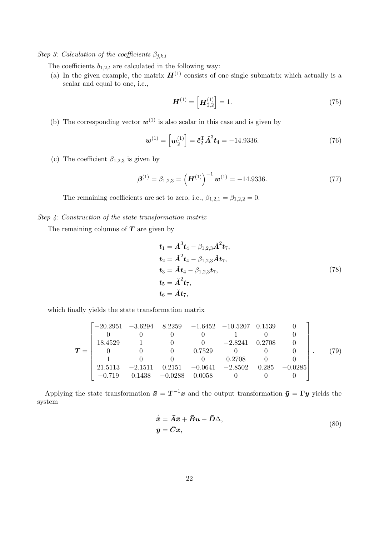Step 3: Calculation of the coefficients  $\beta_{j,k,l}$ 

The coefficients  $b_{1,2,l}$  are calculated in the following way:

(a) In the given example, the matrix  $H^{(1)}$  consists of one single submatrix which actually is a scalar and equal to one, i.e.,

$$
\boldsymbol{H}^{(1)} = \left[ \boldsymbol{H}_{2,2}^{(1)} \right] = 1. \tag{75}
$$

(b) The corresponding vector  $\mathbf{w}^{(1)}$  is also scalar in this case and is given by

$$
\boldsymbol{w}^{(1)} = \left[ \boldsymbol{w}_2^{(1)} \right] = \boldsymbol{\check{c}}_2^{\mathrm{T}} \boldsymbol{\check{A}}^3 \boldsymbol{t}_4 = -14.9336. \tag{76}
$$

(c) The coefficient  $\beta_{1,2,3}$  is given by

$$
\boldsymbol{\beta}^{(1)} = \beta_{1,2,3} = \left(\boldsymbol{H}^{(1)}\right)^{-1} \boldsymbol{w}^{(1)} = -14.9336. \tag{77}
$$

The remaining coefficients are set to zero, i.e.,  $\beta_{1,2,1} = \beta_{1,2,2} = 0$ .

### Step 4: Construction of the state transformation matrix

The remaining columns of  $T$  are given by

$$
t_{1} = \tilde{A}^{3} t_{4} - \beta_{1,2,3} \tilde{A}^{2} t_{7},
$$
  
\n
$$
t_{2} = \tilde{A}^{2} t_{4} - \beta_{1,2,3} \tilde{A} t_{7},
$$
  
\n
$$
t_{3} = \tilde{A} t_{4} - \beta_{1,2,3} t_{7},
$$
  
\n
$$
t_{5} = \tilde{A}^{2} t_{7},
$$
  
\n
$$
t_{6} = \tilde{A} t_{7},
$$
  
\n(78)

which finally yields the state transformation matrix

$$
\boldsymbol{T} = \begin{bmatrix}\n-20.2951 & -3.6294 & 8.2259 & -1.6452 & -10.5207 & 0.1539 & 0 \\
0 & 0 & 0 & 0 & 1 & 0 & 0 \\
18.4529 & 1 & 0 & 0 & -2.8241 & 0.2708 & 0 \\
0 & 0 & 0 & 0.7529 & 0 & 0 & 0 \\
1 & 0 & 0 & 0 & 0.2708 & 0 & 0 \\
21.5113 & -2.1511 & 0.2151 & -0.0641 & -2.8502 & 0.285 & -0.0285 \\
-0.719 & 0.1438 & -0.0288 & 0.0058 & 0 & 0 & 0\n\end{bmatrix}.
$$
(79)

Applying the state transformation  $\bar{x} = T^{-1}x$  and the output transformation  $\bar{y} = \Gamma y$  yields the system

$$
\dot{\bar{x}} = \bar{A}\bar{x} + \bar{B}u + \bar{D}\Delta,
$$
  
\n
$$
\bar{y} = \bar{C}\bar{x},
$$
\n(80)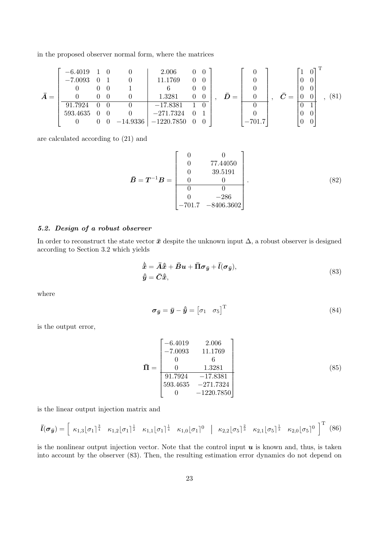in the proposed observer normal form, where the matrices

$$
\bar{A} = \begin{bmatrix}\n-6.4019 & 1 & 0 & 0 & 2.006 & 0 & 0 \\
-7.0093 & 0 & 1 & 0 & 11.1769 & 0 & 0 \\
0 & 0 & 0 & 1 & 6 & 0 & 0 \\
\hline\n& 91.7924 & 0 & 0 & 0 & -17.8381 & 1 & 0 \\
593.4635 & 0 & 0 & 0 & -271.7324 & 0 & 1 \\
0 & 0 & 0 & -14.9336 & -1220.7850 & 0 & 0\n\end{bmatrix}, \quad \bar{D} = \begin{bmatrix}\n0 \\
0 \\
0 \\
0 \\
0 \\
0 \\
-701.7\n\end{bmatrix}, \quad \bar{C} = \begin{bmatrix}\n1 & 0 \\
0 & 0 \\
0 & 0 \\
0 & 0 \\
0 & 0 \\
0 & 0\n\end{bmatrix}, (81)
$$

are calculated according to (21) and

$$
\bar{B} = T^{-1}B = \begin{bmatrix} 0 & 0 \\ 0 & 77.44050 \\ 0 & 39.5191 \\ 0 & 0 \\ 0 & 0 \\ 0 & -286 \\ -701.7 & -8406.3602 \end{bmatrix}.
$$
 (82)

## 5.2. Design of a robust observer

In order to reconstruct the state vector  $\bar{x}$  despite the unknown input  $\Delta$ , a robust observer is designed according to Section 3.2 which yields

$$
\dot{\hat{\overline{x}}} = \overline{A}\hat{\overline{x}} + \overline{B}u + \overline{\Pi}\sigma_{\overline{y}} + \overline{l}(\sigma_{\overline{y}}),
$$
  

$$
\hat{\overline{y}} = \overline{C}\hat{\overline{x}},
$$
 (83)

where

$$
\boldsymbol{\sigma}_{\bar{\boldsymbol{y}}} = \bar{\boldsymbol{y}} - \hat{\boldsymbol{y}} = \begin{bmatrix} \sigma_1 & \sigma_5 \end{bmatrix}^\mathrm{T} \tag{84}
$$

is the output error,

$$
\overline{\mathbf{\Pi}} = \begin{bmatrix}\n-6.4019 & 2.006 \\
-7.0093 & 11.1769 \\
0 & 6 \\
0 & 1.3281 \\
91.7924 & -17.8381 \\
593.4635 & -271.7324 \\
0 & -1220.7850\n\end{bmatrix}
$$
\n(85)

is the linear output injection matrix and

$$
\bar{l}(\sigma_{\bar{y}}) = \begin{bmatrix} \kappa_{1,3}|\sigma_1|^{\frac{3}{4}} & \kappa_{1,2}|\sigma_1|^{\frac{1}{2}} & \kappa_{1,1}|\sigma_1|^{\frac{1}{4}} & \kappa_{1,0}|\sigma_1|^{0} & \kappa_{2,2}|\sigma_5|^{\frac{2}{3}} & \kappa_{2,1}|\sigma_5|^{\frac{1}{3}} & \kappa_{2,0}|\sigma_5|^{0} \end{bmatrix}^{\mathrm{T}} (86)
$$

is the nonlinear output injection vector. Note that the control input  $u$  is known and, thus, is taken into account by the observer (83). Then, the resulting estimation error dynamics do not depend on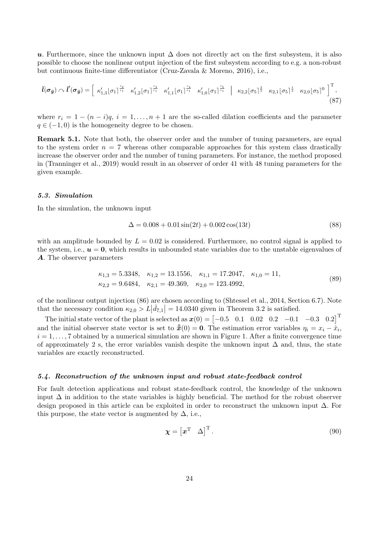u. Furthermore, since the unknown input  $\Delta$  does not directly act on the first subsystem, it is also possible to choose the nonlinear output injection of the first subsystem according to e.g. a non-robust but continuous finite-time differentiator (Cruz-Zavala & Moreno, 2016), i.e.,

$$
\bar{l}(\sigma_{\bar{y}}) \sim \bar{l}'(\sigma_{\bar{y}}) = \begin{bmatrix} \kappa'_{1,3}[\sigma_1]^{\frac{r_2}{r_1}} & \kappa'_{1,2}[\sigma_1]^{\frac{r_3}{r_1}} & \kappa'_{1,1}[\sigma_1]^{\frac{r_4}{r_1}} & \kappa'_{1,0}[\sigma_1]^{\frac{r_5}{r_1}} \end{bmatrix} \begin{bmatrix} \kappa_{2,2}[\sigma_5]^{\frac{2}{3}} & \kappa_{2,1}[\sigma_5]^{\frac{1}{3}} & \kappa_{2,0}[\sigma_5]^0 \end{bmatrix}^T, \tag{87}
$$

where  $r_i = 1 - (n - i)q$ ,  $i = 1, ..., n + 1$  are the so-called dilation coefficients and the parameter  $q \in (-1,0)$  is the homogeneity degree to be chosen.

Remark 5.1. Note that both, the observer order and the number of tuning parameters, are equal to the system order  $n = 7$  whereas other comparable approaches for this system class drastically increase the observer order and the number of tuning parameters. For instance, the method proposed in (Tranninger et al., 2019) would result in an observer of order 41 with 48 tuning parameters for the given example.

### 5.3. Simulation

In the simulation, the unknown input

$$
\Delta = 0.008 + 0.01\sin(2t) + 0.002\cos(13t) \tag{88}
$$

with an amplitude bounded by  $L = 0.02$  is considered. Furthermore, no control signal is applied to the system, i.e.,  $u = 0$ , which results in unbounded state variables due to the unstable eigenvalues of A. The observer parameters

$$
\kappa_{1,3} = 5.3348, \quad \kappa_{1,2} = 13.1556, \quad \kappa_{1,1} = 17.2047, \quad \kappa_{1,0} = 11,
$$
  
\n $\kappa_{2,2} = 9.6484, \quad \kappa_{2,1} = 49.369, \quad \kappa_{2,0} = 123.4992,$ \n(89)

of the nonlinear output injection (86) are chosen according to (Shtessel et al., 2014, Section 6.7). Note that the necessary condition  $\kappa_{2,0} > L|\bar{d}_{7,1}| = 14.0340$  given in Theorem 3.2 is satisfied.

The initial state vector of the plant is selected as  $x(0) = \begin{bmatrix} -0.5 & 0.1 & 0.02 & 0.2 & -0.1 & -0.3 & 0.2 \end{bmatrix}^T$ and the initial observer state vector is set to  $\hat{\bar{x}}(0) = \mathbf{0}$ . The estimation error variables  $\eta_i = x_i - \hat{x}_i$ ,  $i = 1, \ldots, 7$  obtained by a numerical simulation are shown in Figure 1. After a finite convergence time of approximately 2 s, the error variables vanish despite the unknown input  $\Delta$  and, thus, the state variables are exactly reconstructed.

#### 5.4. Reconstruction of the unknown input and robust state-feedback control

For fault detection applications and robust state-feedback control, the knowledge of the unknown input  $\Delta$  in addition to the state variables is highly beneficial. The method for the robust observer design proposed in this article can be exploited in order to reconstruct the unknown input ∆. For this purpose, the state vector is augmented by  $\Delta$ , i.e.,

$$
\boldsymbol{\chi} = \begin{bmatrix} \boldsymbol{x}^{\mathrm{T}} & \Delta \end{bmatrix}^{\mathrm{T}}.
$$
\n(90)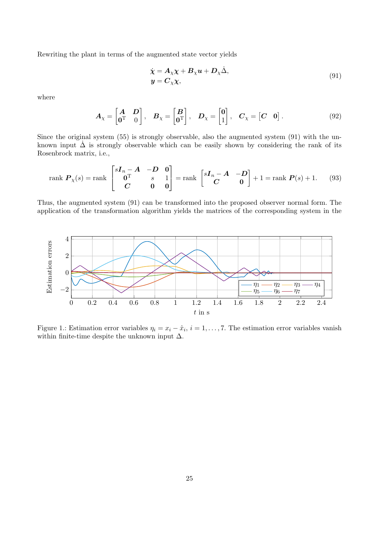Rewriting the plant in terms of the augmented state vector yields

$$
\dot{\chi} = A_{\chi}\chi + B_{\chi}u + D_{\chi}\dot{\Delta}, \ny = C_{\chi}\chi,
$$
\n(91)

where

$$
\boldsymbol{A}_{\chi} = \begin{bmatrix} \boldsymbol{A} & \boldsymbol{D} \\ \mathbf{0}^{\mathrm{T}} & 0 \end{bmatrix}, \quad \boldsymbol{B}_{\chi} = \begin{bmatrix} \boldsymbol{B} \\ \mathbf{0}^{\mathrm{T}} \end{bmatrix}, \quad \boldsymbol{D}_{\chi} = \begin{bmatrix} 0 \\ 1 \end{bmatrix}, \quad \boldsymbol{C}_{\chi} = \begin{bmatrix} \boldsymbol{C} & \mathbf{0} \end{bmatrix}.
$$
\n
$$
(92)
$$

Since the original system (55) is strongly observable, also the augmented system (91) with the unknown input  $\dot{\Delta}$  is strongly observable which can be easily shown by considering the rank of its Rosenbrock matrix, i.e.,

rank 
$$
P_{\chi}(s) = \text{rank } \begin{bmatrix} sI_n - A & -D & 0 \\ 0^{\text{T}} & s & 1 \\ C & 0 & 0 \end{bmatrix} = \text{rank } \begin{bmatrix} sI_n - A & -D \\ C & 0 \end{bmatrix} + 1 = \text{rank } P(s) + 1.
$$
 (93)

Thus, the augmented system (91) can be transformed into the proposed observer normal form. The application of the transformation algorithm yields the matrices of the corresponding system in the



Figure 1.: Estimation error variables  $\eta_i = x_i - \hat{x}_i$ ,  $i = 1, \ldots, 7$ . The estimation error variables vanish within finite-time despite the unknown input  $\Delta$ .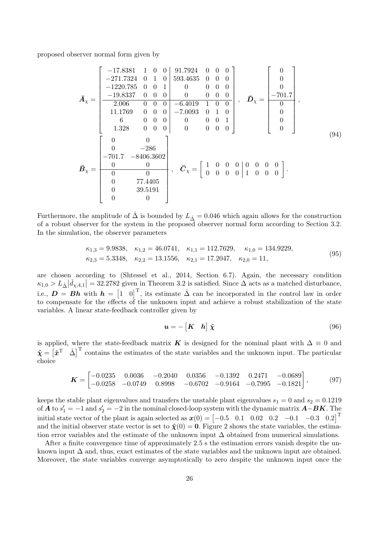proposed observer normal form given by

$$
\bar{A}_{\chi} = \begin{bmatrix}\n-17.8381 & 1 & 0 & 0 & 91.7924 & 0 & 0 & 0 \\
-271.7324 & 0 & 1 & 0 & 593.4635 & 0 & 0 & 0 \\
-1220.785 & 0 & 0 & 1 & 0 & 0 & 0 & 0 \\
-19.8337 & 0 & 0 & 0 & 0 & 0 & 0 & 0 \\
2.006 & 0 & 0 & 0 & -6.4019 & 1 & 0 & 0 \\
11.1769 & 0 & 0 & 0 & -7.0093 & 0 & 1 & 0 \\
6 & 0 & 0 & 0 & 0 & 0 & 0 & 0 \\
1.328 & 0 & 0 & 0 & 0 & 0 & 0\n\end{bmatrix}, \quad \bar{D}_{\chi} = \begin{bmatrix}\n0 \\
0 \\
-701.7 \\
0 \\
0 \\
0 \\
0\n\end{bmatrix},
$$
\n
$$
\bar{B}_{\chi} = \begin{bmatrix}\n0 & 0 \\
-701.7 \\
-701.7 \\
-8406.3602 \\
0 & 0 & 0\n\end{bmatrix}, \quad \bar{C}_{\chi} = \begin{bmatrix}\n1 & 0 & 0 & 0 & 0 & 0 & 0 \\
0 & 0 & 0 & 0 & 0 & 0 \\
0 & 0 & 0 & 0 & 1 & 0 & 0 \\
0 & 0 & 0 & 0 & 1 & 0 & 0 & 0\n\end{bmatrix}.
$$
\n(94)

Furthermore, the amplitude of  $\Delta$  is bounded by  $L_{\Delta} = 0.046$  which again allows for the construction of a robust observer for the system in the proposed observer normal form according to Section 3.2. In the simulation, the observer parameters

$$
\kappa_{1,3} = 9.9838, \quad \kappa_{1,2} = 46.0741, \quad \kappa_{1,1} = 112.7629, \quad \kappa_{1,0} = 134.9229, \n\kappa_{2,3} = 5.3348, \quad \kappa_{2,2} = 13.1556, \quad \kappa_{2,1} = 17.2047, \quad \kappa_{2,0} = 11,
$$
\n(95)

are chosen according to (Shtessel et al., 2014, Section 6.7). Again, the necessary condition  $\kappa_{1,0} > L_{\Delta} |\bar{d}_{\chi,4,1}| = 32.2782$  given in Theorem 3.2 is satisfied. Since  $\Delta$  acts as a matched disturbance, i.e.,  $\mathbf{D} = \mathbf{B}\mathbf{h}$  with  $\mathbf{h} = \begin{bmatrix} 1 & 0 \end{bmatrix}^T$ , its estimate  $\hat{\Delta}$  can be incorporated in the control law in order to compensate for the effects of the unknown input and achieve a robust stabilization of the state variables. A linear state-feedback controller given by

$$
\mathbf{u} = -\begin{bmatrix} \mathbf{K} & \mathbf{h} \end{bmatrix} \hat{\mathbf{\chi}} \tag{96}
$$

is applied, where the state-feedback matrix K is designed for the nominal plant with  $\Delta \equiv 0$  and  $\hat{\chi} = \begin{bmatrix} \hat{x}^T & \hat{\Delta} \end{bmatrix}^T$  contains the estimates of the state variables and the unknown input. The particular choice

$$
\boldsymbol{K} = \begin{bmatrix} -0.0235 & 0.0036 & -0.2040 & 0.0356 & -0.1392 & 0.2471 & -0.0689 \\ -0.0258 & -0.0749 & 0.8998 & -0.6702 & -0.9164 & -0.7995 & -0.1821 \end{bmatrix},
$$
(97)

keeps the stable plant eigenvalues and transfers the unstable plant eigenvalues  $s_1 = 0$  and  $s_2 = 0.1219$ of **A** to  $s'_1 = -1$  and  $s'_2 = -2$  in the nominal closed-loop system with the dynamic matrix  $\mathbf{A}-\mathbf{B}\mathbf{K}$ . The initial state vector of the plant is again selected as  $x(0) = \begin{bmatrix} -0.5 & 0.1 & 0.02 & 0.2 & -0.1 & -0.3 & 0.2 \end{bmatrix}^T$ and the initial observer state vector is set to  $\hat{\chi}(0) = 0$ . Figure 2 shows the state variables, the estimation error variables and the estimate of the unknown input  $\Delta$  obtained from numerical simulations.

After a finite convergence time of approximately 2.5 s the estimation errors vanish despite the unknown input  $\Delta$  and, thus, exact estimates of the state variables and the unknown input are obtained. Moreover, the state variables converge asymptotically to zero despite the unknown input once the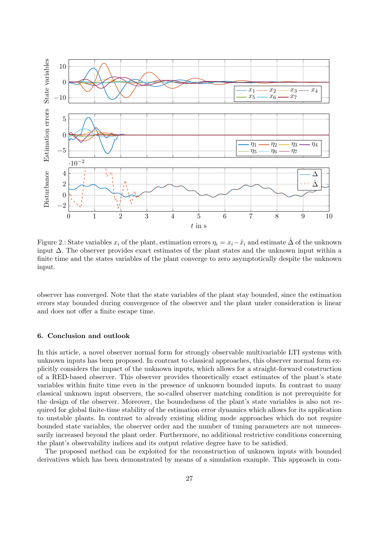

Figure 2.: State variables  $x_i$  of the plant, estimation errors  $\eta_i = x_i - \hat{x}_i$  and estimate  $\hat{\Delta}$  of the unknown input  $\Delta$ . The observer provides exact estimates of the plant states and the unknown input within a finite time and the states variables of the plant converge to zero asymptotically despite the unknown input.

observer has converged. Note that the state variables of the plant stay bounded, since the estimation errors stay bounded during convergence of the observer and the plant under consideration is linear and does not offer a finite escape time.

#### 6. Conclusion and outlook

In this article, a novel observer normal form for strongly observable multivariable LTI systems with unknown inputs has been proposed. In contrast to classical approaches, this observer normal form explicitly considers the impact of the unknown inputs, which allows for a straight-forward construction of a RED-based observer. This observer provides theoretically exact estimates of the plant's state variables within finite time even in the presence of unknown bounded inputs. In contrast to many classical unknown input observers, the so-called observer matching condition is not prerequisite for the design of the observer. Moreover, the boundedness of the plant's state variables is also not required for global finite-time stability of the estimation error dynamics which allows for its application to unstable plants. In contrast to already existing sliding mode approaches which do not require bounded state variables, the observer order and the number of tuning parameters are not unnecessarily increased beyond the plant order. Furthermore, no additional restrictive conditions concerning the plant's observability indices and its output relative degree have to be satisfied.

The proposed method can be exploited for the reconstruction of unknown inputs with bounded derivatives which has been demonstrated by means of a simulation example. This approach in com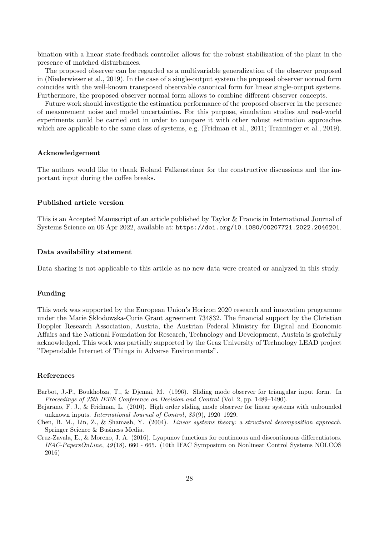bination with a linear state-feedback controller allows for the robust stabilization of the plant in the presence of matched disturbances.

The proposed observer can be regarded as a multivariable generalization of the observer proposed in (Niederwieser et al., 2019). In the case of a single-output system the proposed observer normal form coincides with the well-known transposed observable canonical form for linear single-output systems. Furthermore, the proposed observer normal form allows to combine different observer concepts.

Future work should investigate the estimation performance of the proposed observer in the presence of measurement noise and model uncertainties. For this purpose, simulation studies and real-world experiments could be carried out in order to compare it with other robust estimation approaches which are applicable to the same class of systems, e.g. (Fridman et al., 2011; Tranninger et al., 2019).

#### Acknowledgement

The authors would like to thank Roland Falkensteiner for the constructive discussions and the important input during the coffee breaks.

### Published article version

This is an Accepted Manuscript of an article published by Taylor & Francis in International Journal of Systems Science on 06 Apr 2022, available at: https://doi.org/10.1080/00207721.2022.2046201.

#### Data availability statement

Data sharing is not applicable to this article as no new data were created or analyzed in this study.

#### Funding

This work was supported by the European Union's Horizon 2020 research and innovation programme under the Marie Skłodowska-Curie Grant agreement 734832. The financial support by the Christian Doppler Research Association, Austria, the Austrian Federal Ministry for Digital and Economic Affairs and the National Foundation for Research, Technology and Development, Austria is gratefully acknowledged. This work was partially supported by the Graz University of Technology LEAD project "Dependable Internet of Things in Adverse Environments".

### References

- Barbot, J.-P., Boukhobza, T., & Djemai, M. (1996). Sliding mode observer for triangular input form. In Proceedings of 35th IEEE Conference on Decision and Control (Vol. 2, pp. 1489–1490).
- Bejarano, F. J., & Fridman, L. (2010). High order sliding mode observer for linear systems with unbounded unknown inputs. International Journal of Control, 83 (9), 1920–1929.
- Chen, B. M., Lin, Z., & Shamash, Y. (2004). Linear systems theory: a structural decomposition approach. Springer Science & Business Media.
- Cruz-Zavala, E., & Moreno, J. A. (2016). Lyapunov functions for continuous and discontinuous differentiators. IFAC-PapersOnLine, 49 (18), 660 - 665. (10th IFAC Symposium on Nonlinear Control Systems NOLCOS 2016)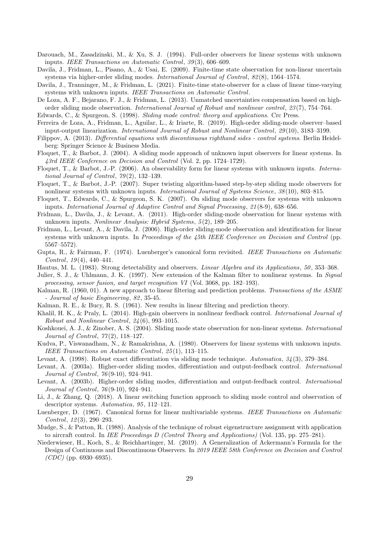- Darouach, M., Zasadzinski, M., & Xu, S. J. (1994). Full-order observers for linear systems with unknown inputs. IEEE Transactions on Automatic Control, 39 (3), 606–609.
- Davila, J., Fridman, L., Pisano, A., & Usai, E. (2009). Finite-time state observation for non-linear uncertain systems via higher-order sliding modes. International Journal of Control, 82 (8), 1564–1574.
- Davila, J., Tranninger, M., & Fridman, L. (2021). Finite-time state-observer for a class of linear time-varying systems with unknown inputs. IEEE Transactions on Automatic Control.
- De Loza, A. F., Bejarano, F. J., & Fridman, L. (2013). Unmatched uncertainties compensation based on highorder sliding mode observation. International Journal of Robust and nonlinear control, 23 (7), 754–764.
- Edwards, C., & Spurgeon, S. (1998). Sliding mode control: theory and applications. Crc Press.
- Ferreira de Loza, A., Fridman, L., Aguilar, L., & Iriarte, R. (2019). High-order sliding-mode observer–based input-output linearization. International Journal of Robust and Nonlinear Control, 29 (10), 3183–3199.
- Filippov, A. (2013). Differential equations with discontinuous righthand sides control systems. Berlin Heidelberg: Springer Science & Business Media.
- Floquet, T., & Barbot, J. (2004). A sliding mode approach of unknown input observers for linear systems. In 43rd IEEE Conference on Decision and Control (Vol. 2, pp. 1724–1729).
- Floquet, T., & Barbot, J.-P. (2006). An observability form for linear systems with unknown inputs. International Journal of Control,  $79(2)$ , 132-139.
- Floquet, T., & Barbot, J.-P. (2007). Super twisting algorithm-based step-by-step sliding mode observers for nonlinear systems with unknown inputs. International Journal of Systems Science, 38 (10), 803–815.
- Floquet, T., Edwards, C., & Spurgeon, S. K. (2007). On sliding mode observers for systems with unknown inputs. International Journal of Adaptive Control and Signal Processing, 21 (8-9), 638–656.
- Fridman, L., Davila, J., & Levant, A. (2011). High-order sliding-mode observation for linear systems with unknown inputs. Nonlinear Analysis: Hybrid Systems, 5 (2), 189–205.
- Fridman, L., Levant, A., & Davila, J. (2006). High-order sliding-mode observation and identification for linear systems with unknown inputs. In Proceedings of the 45th IEEE Conference on Decision and Control (pp. 5567–5572).
- Gupta, R., & Fairman, F. (1974). Luenberger's canonical form revisited. IEEE Transactions on Automatic Control,  $19(4)$ ,  $440-441$ .
- Hautus, M. L. (1983). Strong detectability and observers. Linear Algebra and its Applications, 50 , 353–368.
- Julier, S. J., & Uhlmann, J. K. (1997). New extension of the Kalman filter to nonlinear systems. In Signal processing, sensor fusion, and target recognition VI (Vol. 3068, pp. 182–193).
- Kalman, R. (1960, 01). A new approach to linear filtering and prediction problems. Transactions of the ASME - Journal of basic Engineering, 82, 35-45.
- Kalman, R. E., & Bucy, R. S. (1961). New results in linear filtering and prediction theory.
- Khalil, H. K., & Praly, L. (2014). High-gain observers in nonlinear feedback control. International Journal of Robust and Nonlinear Control, 24 (6), 993–1015.
- Koshkouei, A. J., & Zinober, A. S. (2004). Sliding mode state observation for non-linear systems. International Journal of Control, 77 (2), 118–127.
- Kudva, P., Viswanadham, N., & Ramakrishna, A. (1980). Observers for linear systems with unknown inputs. IEEE Transactions on Automatic Control, 25 (1), 113–115.
- Levant, A. (1998). Robust exact differentiation via sliding mode technique. Automatica, 34 (3), 379–384.
- Levant, A. (2003a). Higher-order sliding modes, differentiation and output-feedback control. International Journal of Control, 76 (9-10), 924–941.
- Levant, A. (2003b). Higher-order sliding modes, differentiation and output-feedback control. International Journal of Control, 76 (9-10), 924–941.
- Li, J., & Zhang, Q. (2018). A linear switching function approach to sliding mode control and observation of descriptor systems. Automatica, 95, 112–121.
- Luenberger, D. (1967). Canonical forms for linear multivariable systems. IEEE Transactions on Automatic  $Control, 12(3), 290-293.$
- Mudge, S., & Patton, R. (1988). Analysis of the technique of robust eigenstructure assignment with application to aircraft control. In IEE Proceedings D (Control Theory and Applications) (Vol. 135, pp. 275–281).
- Niederwieser, H., Koch, S., & Reichhartinger, M. (2019). A Generalization of Ackermann's Formula for the Design of Continuous and Discontinuous Observers. In 2019 IEEE 58th Conference on Decision and Control  $(CDC)$  (pp. 6930–6935).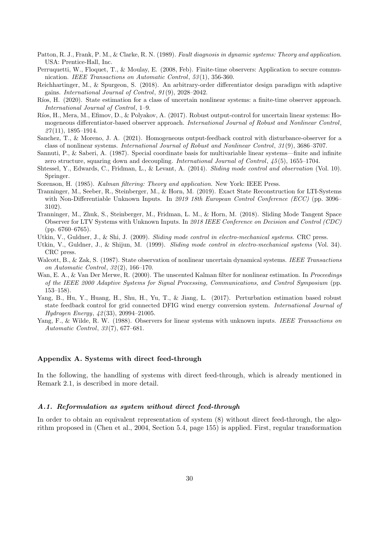- Patton, R. J., Frank, P. M., & Clarke, R. N. (1989). Fault diagnosis in dynamic systems: Theory and application. USA: Prentice-Hall, Inc.
- Perruquetti, W., Floquet, T., & Moulay, E. (2008, Feb). Finite-time observers: Application to secure communication. IEEE Transactions on Automatic Control, 53 (1), 356-360.
- Reichhartinger, M., & Spurgeon, S. (2018). An arbitrary-order differentiator design paradigm with adaptive gains. International Journal of Control, 91 (9), 2028–2042.
- Ríos, H. (2020). State estimation for a class of uncertain nonlinear systems: a finite-time observer approach. International Journal of Control, 1–9.
- R´ıos, H., Mera, M., Efimov, D., & Polyakov, A. (2017). Robust output-control for uncertain linear systems: Homogeneous differentiator-based observer approach. International Journal of Robust and Nonlinear Control,  $27(11)$ , 1895-1914.
- Sanchez, T., & Moreno, J. A. (2021). Homogeneous output-feedback control with disturbance-observer for a class of nonlinear systems. International Journal of Robust and Nonlinear Control, 31 (9), 3686–3707.
- Sannuti, P., & Saberi, A. (1987). Special coordinate basis for multivariable linear systems—finite and infinite zero structure, squaring down and decoupling. *International Journal of Control*,  $45(5)$ , 1655–1704.
- Shtessel, Y., Edwards, C., Fridman, L., & Levant, A. (2014). Sliding mode control and observation (Vol. 10). Springer.
- Sorenson, H. (1985). Kalman filtering: Theory and application. New York: IEEE Press.
- Tranninger, M., Seeber, R., Steinberger, M., & Horn, M. (2019). Exact State Reconstruction for LTI-Systems with Non-Differentiable Unknown Inputs. In 2019 18th European Control Conference (ECC) (pp. 3096– 3102).
- Tranninger, M., Zhuk, S., Steinberger, M., Fridman, L. M., & Horn, M. (2018). Sliding Mode Tangent Space Observer for LTV Systems with Unknown Inputs. In 2018 IEEE Conference on Decision and Control (CDC) (pp. 6760–6765).
- Utkin, V., Guldner, J., & Shi, J. (2009). Sliding mode control in electro-mechanical systems. CRC press.
- Utkin, V., Guldner, J., & Shijun, M. (1999). Sliding mode control in electro-mechanical systems (Vol. 34). CRC press.
- Walcott, B., & Zak, S. (1987). State observation of nonlinear uncertain dynamical systems. IEEE Transactions on Automatic Control, 32 (2), 166–170.
- Wan, E. A., & Van Der Merwe, R. (2000). The unscented Kalman filter for nonlinear estimation. In Proceedings of the IEEE 2000 Adaptive Systems for Signal Processing, Communications, and Control Symposium (pp. 153–158).
- Yang, B., Hu, Y., Huang, H., Shu, H., Yu, T., & Jiang, L. (2017). Perturbation estimation based robust state feedback control for grid connected DFIG wind energy conversion system. International Journal of Hydrogen Energy, 42 (33), 20994–21005.
- Yang, F., & Wilde, R. W. (1988). Observers for linear systems with unknown inputs. IEEE Transactions on Automatic Control, 33 (7), 677–681.

### Appendix A. Systems with direct feed-through

In the following, the handling of systems with direct feed-through, which is already mentioned in Remark 2.1, is described in more detail.

### A.1. Reformulation as system without direct feed-through

In order to obtain an equivalent representation of system (8) without direct feed-through, the algorithm proposed in (Chen et al., 2004, Section 5.4, page 155) is applied. First, regular transformation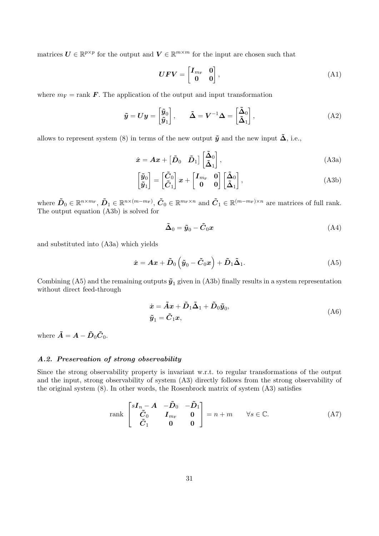matrices  $U \in \mathbb{R}^{p \times p}$  for the output and  $V \in \mathbb{R}^{m \times m}$  for the input are chosen such that

$$
\boldsymbol{U}\boldsymbol{F}\boldsymbol{V} = \begin{bmatrix} \boldsymbol{I}_{m_{\mathrm{F}}} & \boldsymbol{0} \\ \boldsymbol{0} & \boldsymbol{0} \end{bmatrix},\tag{A1}
$$

where  $m_F = \text{rank } F$ . The application of the output and input transformation

$$
\tilde{\mathbf{y}} = \mathbf{U}\mathbf{y} = \begin{bmatrix} \tilde{\mathbf{y}}_0 \\ \tilde{\mathbf{y}}_1 \end{bmatrix}, \qquad \tilde{\mathbf{\Delta}} = \mathbf{V}^{-1}\mathbf{\Delta} = \begin{bmatrix} \tilde{\mathbf{\Delta}}_0 \\ \tilde{\mathbf{\Delta}}_1 \end{bmatrix}, \tag{A2}
$$

allows to represent system (8) in terms of the new output  $\tilde{y}$  and the new input  $\tilde{\Delta}$ , i.e.,

$$
\dot{\boldsymbol{x}} = \boldsymbol{A}\boldsymbol{x} + \begin{bmatrix} \tilde{\boldsymbol{D}}_0 & \tilde{\boldsymbol{D}}_1 \end{bmatrix} \begin{bmatrix} \tilde{\boldsymbol{\Delta}}_0 \\ \tilde{\boldsymbol{\Delta}}_1 \end{bmatrix},
$$
\n(A3a)

$$
\begin{bmatrix} \tilde{y}_0 \\ \tilde{y}_1 \end{bmatrix} = \begin{bmatrix} \tilde{C}_0 \\ \tilde{C}_1 \end{bmatrix} x + \begin{bmatrix} I_{m_F} & 0 \\ 0 & 0 \end{bmatrix} \begin{bmatrix} \tilde{\Delta}_0 \\ \tilde{\Delta}_1 \end{bmatrix},
$$
\n(A3b)

where  $\tilde{D}_0 \in \mathbb{R}^{n \times m_F}$ ,  $\tilde{D}_1 \in \mathbb{R}^{n \times (m-m_F)}$ ,  $\tilde{C}_0 \in \mathbb{R}^{m_F \times n}$  and  $\tilde{C}_1 \in \mathbb{R}^{(m-m_F)\times n}$  are matrices of full rank. The output equation (A3b) is solved for

$$
\tilde{\Delta}_0 = \tilde{\boldsymbol{y}}_0 - \tilde{\boldsymbol{C}}_0 \boldsymbol{x} \tag{A4}
$$

and substituted into (A3a) which yields

$$
\dot{x} = Ax + \tilde{D}_0 \left( \tilde{y}_0 - \tilde{C}_0 x \right) + \tilde{D}_1 \tilde{\Delta}_1.
$$
 (A5)

Combining (A5) and the remaining outputs  $\tilde{\mathbf{y}}_1$  given in (A3b) finally results in a system representation without direct feed-through

$$
\dot{x} = \tilde{A}x + \tilde{D}_1\tilde{\Delta}_1 + \tilde{D}_0\tilde{y}_0,
$$
  
\n
$$
\tilde{y}_1 = \tilde{C}_1x,
$$
\n(A6)

where  $\tilde{A} = A - \tilde{D}_0 \tilde{C}_0$ .

### A.2. Preservation of strong observability

Since the strong observability property is invariant w.r.t. to regular transformations of the output and the input, strong observability of system (A3) directly follows from the strong observability of the original system (8). In other words, the Rosenbrock matrix of system (A3) satisfies

$$
\text{rank}\begin{bmatrix} s\boldsymbol{I}_n - \boldsymbol{A} & -\tilde{\boldsymbol{D}}_0 & -\tilde{\boldsymbol{D}}_1 \\ \tilde{\boldsymbol{C}}_0 & \boldsymbol{I}_{m_F} & \boldsymbol{0} \\ \tilde{\boldsymbol{C}}_1 & \boldsymbol{0} & \boldsymbol{0} \end{bmatrix} = n + m \qquad \forall s \in \mathbb{C}.
$$
 (A7)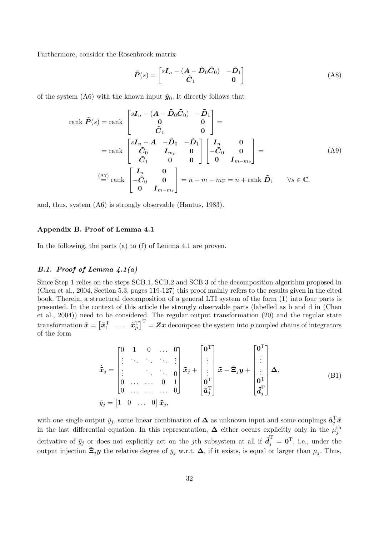Furthermore, consider the Rosenbrock matrix

$$
\tilde{P}(s) = \begin{bmatrix} sI_n - (A - \tilde{D}_0\tilde{C}_0) & -\tilde{D}_1 \\ \tilde{C}_1 & 0 \end{bmatrix}
$$
 (A8)

of the system (A6) with the known input  $\tilde{\mathbf{y}}_0$ . It directly follows that

rank 
$$
\tilde{P}(s)
$$
 = rank  $\begin{bmatrix} sI_n - (A - \tilde{D}_0\tilde{C}_0) & -\tilde{D}_1 \\ 0 & 0 \\ \tilde{C}_1 & 0 \end{bmatrix}$  =  
\n= rank  $\begin{bmatrix} sI_n - A & -\tilde{D}_0 & -\tilde{D}_1 \\ \tilde{C}_0 & I_{m_F} & 0 \\ \tilde{C}_1 & 0 & 0 \end{bmatrix} \begin{bmatrix} I_n & 0 \\ -\tilde{C}_0 & 0 \\ 0 & I_{m-m_F} \end{bmatrix}$  =  
\n $\stackrel{(A7)}{=} \text{rank} \begin{bmatrix} I_n & 0 \\ -\tilde{C}_0 & 0 \\ 0 & I_{m-m_F} \end{bmatrix} = n + m - m_F = n + \text{rank } \tilde{D}_1 \quad \forall s \in \mathbb{C},$ 

and, thus, system (A6) is strongly observable (Hautus, 1983).

#### Appendix B. Proof of Lemma 4.1

In the following, the parts (a) to (f) of Lemma 4.1 are proven.

# B.1. Proof of Lemma  $\frac{1}{4}$ .1(a)

Since Step 1 relies on the steps SCB.1, SCB.2 and SCB.3 of the decomposition algorithm proposed in (Chen et al., 2004, Section 5.3, pages 119-127) this proof mainly refers to the results given in the cited book. Therein, a structural decomposition of a general LTI system of the form (1) into four parts is presented. In the context of this article the strongly observable parts (labelled as b and d in (Chen et al., 2004)) need to be considered. The regular output transformation (20) and the regular state  $\text{transformation }\bm{\tilde{x}}=\begin{bmatrix}\bm{\tilde{x}}_1^{\text{T}}&\dots&\bm{\tilde{x}}_p^{\text{T}}\end{bmatrix}^{\text{T}}=\bm{Z}\bm{x}\text{ decompose the system into }p\text{ coupled chains of integrators}$ of the form

$$
\dot{\tilde{x}}_j = \begin{bmatrix}\n0 & 1 & 0 & \dots & 0 \\
\vdots & \ddots & \ddots & \ddots & \vdots \\
\vdots & & \ddots & \ddots & 0 \\
0 & \dots & \dots & 0 & 1 \\
0 & \dots & \dots & \dots & 0\n\end{bmatrix} \tilde{x}_j + \begin{bmatrix}\n0^T \\
\vdots \\
0^T \\
0^T\n\end{bmatrix} \tilde{x} - \tilde{\Xi}_j y + \begin{bmatrix}\n0^T \\
\vdots \\
0^T \\
0^T\n\end{bmatrix} \Delta,
$$
\n(B1)\n
$$
\bar{y}_j = \begin{bmatrix}\n1 & 0 & \dots & 0\n\end{bmatrix} \tilde{x}_j,
$$

with one single output  $\bar{y}_j$ , some linear combination of  $\Delta$  as unknown input and some couplings  $\tilde{a}_j^T\tilde{x}$ in the last differential equation. In this representation,  $\Delta$  either occurs explicitly only in the  $\mu_j^{\text{th}}$ derivative of  $\bar{y}_j$  or does not explicitly act on the jth subsystem at all if  $\tilde{d}_j^{\rm T} = \mathbf{0}^{\rm T}$ , i.e., under the output injection  $\tilde{\Xi}_j y$  the relative degree of  $\bar{y}_j$  w.r.t.  $\Delta$ , if it exists, is equal or larger than  $\mu_j$ . Thus,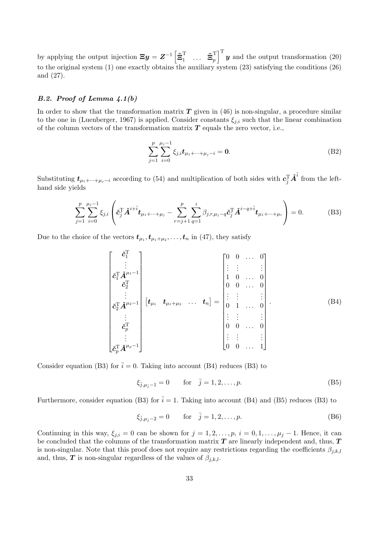by applying the output injection  $\Xi y = Z^{-1} \left[ \tilde{\Xi}_1^{\mathrm{T}} \right]$  $\begin{matrix} \texttt{T} \ \texttt{1} \ \ \ \ \ \dots \ \ \ \tilde{\Xi}_p^\text{T} \end{matrix}$  $\int_{p}^{T}$   $\left| \mathbf{y} \right|$  and the output transformation (20) to the original system (1) one exactly obtains the auxiliary system (23) satisfying the conditions (26) and (27).

# B.2. Proof of Lemma 4.1(b)

In order to show that the transformation matrix  $T$  given in (46) is non-singular, a procedure similar to the one in (Luenberger, 1967) is applied. Consider constants  $\xi_{j,i}$  such that the linear combination of the column vectors of the transformation matrix  $T$  equals the zero vector, i.e.,

$$
\sum_{j=1}^{p} \sum_{i=0}^{\mu_j - 1} \xi_{j,i} \mathbf{t}_{\mu_1 + \dots + \mu_j - i} = \mathbf{0}.
$$
 (B2)

Substituting  $t_{\mu_1+\cdots+\mu_j-i}$  according to (54) and multiplication of both sides with  $c_j^T \tilde{A}^{\bar{i}}$  from the lefthand side yields

$$
\sum_{j=1}^{p} \sum_{i=0}^{\mu_j - 1} \xi_{j,i} \left( \tilde{c}_{\bar{j}}^{\mathrm{T}} \tilde{A}^{i + \bar{i}} t_{\mu_1 + \dots + \mu_j} - \sum_{r=j+1}^{p} \sum_{q=1}^{i} \beta_{j,r,\mu_j - q} \tilde{c}_{\bar{j}}^{\mathrm{T}} \tilde{A}^{i - q + \bar{i}} t_{\mu_1 + \dots + \mu_r} \right) = 0.
$$
 (B3)

Due to the choice of the vectors  $t_{\mu_1}, t_{\mu_1+\mu_2}, \ldots, t_n$  in (47), they satisfy

$$
\begin{bmatrix}\n\ddot{\epsilon}_{1}^{T} \\
\vdots \\
\dot{\epsilon}_{1}^{T}\ddot{A}^{\mu_{1}-1} \\
\dot{\epsilon}_{2}^{T}\ddot{A}^{\mu_{2}-1} \\
\vdots \\
\dot{\epsilon}_{p}^{T}\ddot{A}^{\mu_{2}-1}\n\end{bmatrix}\n\begin{bmatrix}\n\ddot{\epsilon}_{1} & \ddots & \ddots & 0 \\
\ddots & \ddots & \ddots & \ddots \\
\ddots & \ddots & \ddots & \ddots \\
\ddots & \ddots & \ddots & \ddots \\
\ddots & \ddots & \ddots & \ddots \\
\ddots & \ddots & \ddots & \ddots \\
\ddots & \ddots & \ddots & \ddots \\
\ddots & \ddots & \ddots & \ddots \\
\ddots & \ddots & \ddots & \ddots \\
\ddots & \ddots & \ddots & \ddots \\
\ddots & \ddots & \ddots & \ddots \\
\ddots & \ddots & \ddots & \ddots \\
\ddots & \ddots & \ddots & \ddots \\
\ddots & \ddots & \ddots & \ddots \\
\ddots & \ddots & \ddots & \ddots \\
\ddots & \ddots & \ddots & \ddots\n\end{bmatrix}.\n\qquad (B4)
$$

Consider equation (B3) for  $\bar{i} = 0$ . Taking into account (B4) reduces (B3) to

$$
\xi_{\bar{j},\mu_{\bar{j}}-1} = 0 \quad \text{for} \quad \bar{j} = 1,2,\dots,p. \tag{B5}
$$

Furthermore, consider equation (B3) for  $\bar{i} = 1$ . Taking into account (B4) and (B5) reduces (B3) to

$$
\xi_{\bar{j},\mu_{\bar{j}}-2} = 0
$$
 for  $\bar{j} = 1, 2, ..., p.$  (B6)

Continuing in this way,  $\xi_{i,i} = 0$  can be shown for  $j = 1, 2, \ldots, p$ ,  $i = 0, 1, \ldots, \mu_j - 1$ . Hence, it can be concluded that the columns of the transformation matrix  $T$  are linearly independent and, thus,  $T$ is non-singular. Note that this proof does not require any restrictions regarding the coefficients  $\beta_{j,k,l}$ and, thus, T is non-singular regardless of the values of  $\beta_{j,k,l}$ .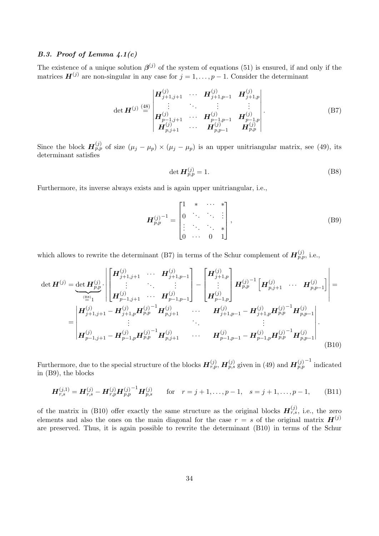# B.3. Proof of Lemma  $4.1(c)$

The existence of a unique solution  $\beta^{(j)}$  of the system of equations (51) is ensured, if and only if the matrices  $\mathbf{H}^{(j)}$  are non-singular in any case for  $j = 1, \ldots, p - 1$ . Consider the determinant

$$
\det \boldsymbol{H}^{(j)} \stackrel{\text{(48)}}{=} \begin{vmatrix} \boldsymbol{H}_{j+1,j+1}^{(j)} & \cdots & \boldsymbol{H}_{j+1,p-1}^{(j)} & \boldsymbol{H}_{j+1,p}^{(j)} \\ \vdots & \ddots & \vdots & \vdots \\ \boldsymbol{H}_{p-1,j+1}^{(j)} & \cdots & \boldsymbol{H}_{p-1,p-1}^{(j)} & \boldsymbol{H}_{p-1,p}^{(j)} \\ \boldsymbol{H}_{p,j+1}^{(j)} & \cdots & \boldsymbol{H}_{p,p-1}^{(j)} & \boldsymbol{H}_{p,p}^{(j)} \end{vmatrix} . \tag{B7}
$$

Since the block  $H_{p,p}^{(j)}$  of size  $(\mu_j - \mu_p) \times (\mu_j - \mu_p)$  is an upper unitriangular matrix, see (49), its determinant satisfies

$$
\det \mathbf{H}_{p,p}^{(j)} = 1. \tag{B8}
$$

Furthermore, its inverse always exists and is again upper unitriangular, i.e.,

$$
\boldsymbol{H}_{p,p}^{(j)^{-1}} = \begin{bmatrix} 1 & * & \cdots & * \\ 0 & \ddots & \ddots & \vdots \\ \vdots & \ddots & \ddots & * \\ 0 & \cdots & 0 & 1 \end{bmatrix},
$$
 (B9)

which allows to rewrite the determinant (B7) in terms of the Schur complement of  $\mathbf{H}_{p,p}^{(j)}$ , i.e.,

$$
\det \mathbf{H}^{(j)} = \underbrace{\det \mathbf{H}_{p,p}^{(j)}}_{\stackrel{\text{(BS)}{=} 1}{=} \left| \begin{bmatrix} \mathbf{H}_{j+1,j+1}^{(j)} & \cdots & \mathbf{H}_{j+1,p-1}^{(j)} \\ \vdots & \ddots & \vdots \\ \mathbf{H}_{p-1,j+1}^{(j)} & \cdots & \mathbf{H}_{p-1,p-1}^{(j)} \end{bmatrix} - \begin{bmatrix} \mathbf{H}_{j+1,p}^{(j)} \\ \vdots \\ \mathbf{H}_{p-1,p}^{(j)} \end{bmatrix} \mathbf{H}_{p,p}^{(j)-1} \left[ \mathbf{H}_{p,j+1}^{(j)} & \cdots & \mathbf{H}_{p,p-1}^{(j)} \right] \right| =
$$
\n
$$
= \begin{vmatrix} \mathbf{H}_{j+1,j+1}^{(j)} & \mathbf{H}_{j+1,p}^{(j)} & \mathbf{H}_{p,j+1}^{(j)} & \cdots & \mathbf{H}_{j+1,p-1}^{(j)} & \mathbf{H}_{j+1,p-1}^{(j)} & \mathbf{H}_{p,p-1}^{(j)} \\ \vdots & \vdots & \ddots & \vdots \\ \mathbf{H}_{p-1,j+1}^{(j)} & \mathbf{H}_{p-1,p}^{(j)} & \mathbf{H}_{p,p}^{(j)} & \mathbf{H}_{p,j+1}^{(j)} & \cdots & \mathbf{H}_{p-1,p-1}^{(j)} & \mathbf{H}_{p-1,p}^{(j)} & \mathbf{H}_{p,p-1}^{(j)} \end{bmatrix}.
$$
\n(B10)

Furthermore, due to the special structure of the blocks  $H_{r,p}^{(j)}$ ,  $H_{p,s}^{(j)}$  given in (49) and  $H_{p,p}^{(j)}$  indicated in (B9), the blocks

$$
\boldsymbol{H}_{r,s}^{(j,1)} = \boldsymbol{H}_{r,s}^{(j)} - \boldsymbol{H}_{r,p}^{(j)} \boldsymbol{H}_{p,p}^{(j)}^{-1} \boldsymbol{H}_{p,s}^{(j)} \quad \text{for} \quad r = j+1,\dots,p-1, \quad s = j+1,\dots,p-1,
$$
 (B11)

of the matrix in (B10) offer exactly the same structure as the original blocks  $\boldsymbol{H}_{r,s}^{(j)}$ , i.e., the zero elements and also the ones on the main diagonal for the case  $r = s$  of the original matrix  $H^{(j)}$ are preserved. Thus, it is again possible to rewrite the determinant (B10) in terms of the Schur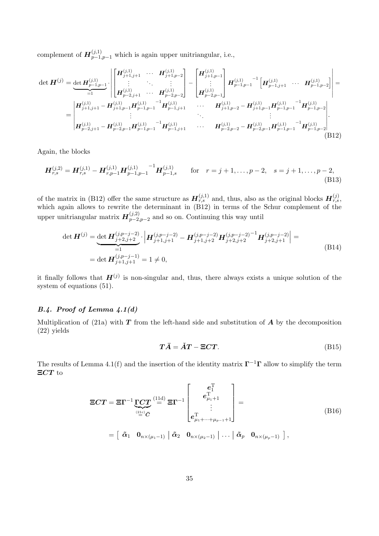complement of  $\mathbf{H}_{p-1,p-1}^{(j,1)}$  which is again upper unitriangular, i.e.,

$$
\det \boldsymbol{H}^{(j)} = \underbrace{\det \boldsymbol{H}_{p-1,p-1}^{(j,1)}}_{=1} \cdot \begin{bmatrix} \boldsymbol{H}_{j+1,j+1}^{(j,1)} & \cdots & \boldsymbol{H}_{j+1,p-2}^{(j,1)} \\ \vdots & \ddots & \vdots \\ \boldsymbol{H}_{p-2,j+1}^{(j,1)} & \cdots & \boldsymbol{H}_{p-2,p-2}^{(j,1)} \end{bmatrix} - \begin{bmatrix} \boldsymbol{H}_{j+1,p-1}^{(j,1)} \\ \vdots \\ \boldsymbol{H}_{p-2,p-1}^{(j,1)} \end{bmatrix} \boldsymbol{H}_{p-1,p-1}^{(j,1)} \cdot \begin{bmatrix} \boldsymbol{H}_{p-1,j+1}^{(j,1)} & \cdots & \boldsymbol{H}_{p-1,p-2}^{(j,1)} \end{bmatrix} = \\ = \begin{bmatrix} \boldsymbol{H}_{j+1,j+1}^{(j,1)} - \boldsymbol{H}_{j+1,p-1}^{(j,1)} \boldsymbol{H}_{p-1,p-1}^{(j,1)} & \boldsymbol{H}_{p-1,j+1}^{(j,1)} & \cdots & \boldsymbol{H}_{j+1,p-2}^{(j,1)} - \boldsymbol{H}_{j+1,p-1}^{(j,1)} \boldsymbol{H}_{p-1,p-2}^{(j,1)} \\ \vdots & \ddots & \vdots \\ \boldsymbol{H}_{p-2,j+1}^{(j,1)} - \boldsymbol{H}_{p-2,p-1}^{(j,1)} \boldsymbol{H}_{p-1,p-1}^{(j,1)} & \boldsymbol{H}_{p-1,j+1}^{(j,1)} & \cdots & \boldsymbol{H}_{p-2,p-2}^{(j,1)} - \boldsymbol{H}_{p-2,p-1}^{(j,1)} \boldsymbol{H}_{p-1,p-1}^{(j,1)} & \boldsymbol{H}_{p-1,p-2}^{(j,1)} \end{bmatrix} .
$$
\n(B12)

Again, the blocks

$$
\boldsymbol{H}_{r,s}^{(j,2)} = \boldsymbol{H}_{r,s}^{(j,1)} - \boldsymbol{H}_{r,p-1}^{(j,1)} \boldsymbol{H}_{p-1,p-1}^{(j,1)}^{-1} \boldsymbol{H}_{p-1,s}^{(j,1)} \quad \text{for} \quad r = j+1,\ldots,p-2, \quad s = j+1,\ldots,p-2,
$$
\n(B13)

of the matrix in (B12) offer the same structure as  $\mathbf{H}_{r,s}^{(j,1)}$  and, thus, also as the original blocks  $\mathbf{H}_{r,s}^{(j)}$ , which again allows to rewrite the determinant in (B12) in terms of the Schur complement of the upper unitriangular matrix  $\mathbf{H}_{n-2}^{(j,2)}$  $p-2, p-2$  and so on. Continuing this way until

$$
\det \boldsymbol{H}^{(j)} = \underbrace{\det \boldsymbol{H}^{(j,p-j-2)}_{j+2,j+2}}_{=1} \cdot \left| \boldsymbol{H}^{(j,p-j-2)}_{j+1,j+1} - \boldsymbol{H}^{(j,p-j-2)}_{j+1,j+2} \boldsymbol{H}^{(j,p-j-2)}_{j+2,j+2} \right| =
$$
\n
$$
= \det \boldsymbol{H}^{(j,p-j-1)}_{j+1,j+1} = 1 \neq 0,
$$
\n(B14)

it finally follows that  $H^{(j)}$  is non-singular and, thus, there always exists a unique solution of the system of equations (51).

## B.4. Proof of Lemma  $4.1(d)$

Multiplication of (21a) with  $T$  from the left-hand side and substitution of  $\vec{A}$  by the decomposition (22) yields

$$
T\bar{A} = \check{A}T - \Xi CT.
$$
 (B15)

The results of Lemma 4.1(f) and the insertion of the identity matrix  $\Gamma^{-1}\Gamma$  allow to simplify the term ΞCT to

$$
\Xi CT = \Xi \Gamma^{-1} \underbrace{\Gamma CT}_{\stackrel{(21c)}{=} \overline{C}} \stackrel{(11d)}{=} \Xi \Gamma^{-1} \begin{bmatrix} e_1^T \\ e_{\mu_1+1}^T \\ \vdots \\ e_{\mu_1+\cdots+\mu_{p-1}+1}^T \end{bmatrix} =
$$
\n
$$
= \begin{bmatrix} \tilde{\alpha}_1 & 0_{n \times (\mu_1-1)} \end{bmatrix} \tilde{\alpha}_2 \quad 0_{n \times (\mu_2-1)} \end{bmatrix} \dots \begin{bmatrix} \tilde{\alpha}_p & 0_{n \times (\mu_p-1)} \end{bmatrix},
$$
\n(B16)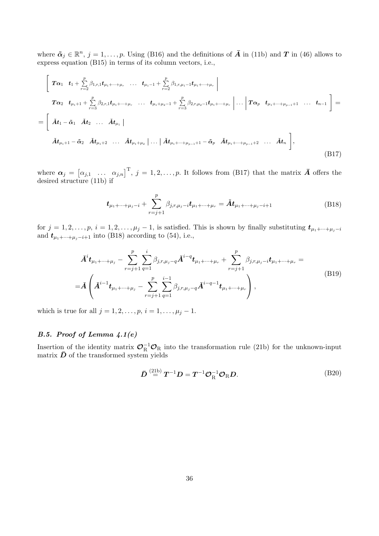where  $\tilde{\boldsymbol{\alpha}}_j \in \mathbb{R}^n$ ,  $j = 1, \ldots, p$ . Using (B16) and the definitions of  $\bar{\boldsymbol{A}}$  in (11b) and  $\boldsymbol{T}$  in (46) allows to express equation (B15) in terms of its column vectors, i.e.,

$$
\begin{bmatrix}\n\boldsymbol{T}\alpha_1 & \boldsymbol{t}_1 + \sum_{r=2}^p \beta_{1,r,1} \boldsymbol{t}_{\mu_1 + \dots + \mu_r} & \dots & \boldsymbol{t}_{\mu_1 - 1} + \sum_{r=2}^p \beta_{1,r,\mu_1 - 1} \boldsymbol{t}_{\mu_1 + \dots + \mu_r}\n\end{bmatrix}\n\boldsymbol{T}\alpha_2 & \boldsymbol{t}_{\mu_1 + 1} + \sum_{r=3}^p \beta_{2,r,1} \boldsymbol{t}_{\mu_1 + \dots + \mu_r} & \dots & \boldsymbol{t}_{\mu_1 + \mu_2 - 1} + \sum_{r=3}^p \beta_{2,r,\mu_2 - 1} \boldsymbol{t}_{\mu_1 + \dots + \mu_r}\n\begin{bmatrix}\n\dots & \boldsymbol{T}\alpha_p & \boldsymbol{t}_{\mu_1 + \dots + \mu_{p-1} + 1} & \dots & \boldsymbol{t}_{n-1}\n\end{bmatrix}\n= \begin{bmatrix}\n\boldsymbol{A} \boldsymbol{t}_1 - \boldsymbol{\tilde{\alpha}}_1 & \boldsymbol{A} \boldsymbol{t}_2 & \dots & \boldsymbol{A} \boldsymbol{t}_{\mu_1}\n\end{bmatrix}\n\boldsymbol{A} \boldsymbol{t}_{\mu_1 + 2} & \dots & \boldsymbol{A} \boldsymbol{t}_{\mu_1 + \mu_2}\n\begin{bmatrix}\n\dots & \boldsymbol{A} \boldsymbol{t}_{\mu_1 + \dots + \mu_{p-1} + 1} - \boldsymbol{\tilde{\alpha}}_p & \boldsymbol{A} \boldsymbol{t}_{\mu_1 + \dots + \mu_{p-1} + 2} & \dots & \boldsymbol{A} \boldsymbol{t}_n\n\end{bmatrix},
$$
\n(B17)

where  $\boldsymbol{\alpha}_j = \begin{bmatrix} \alpha_{j,1} & \dots & \alpha_{j,n} \end{bmatrix}^{\mathrm{T}}, j = 1, 2, \dots, p$ . It follows from (B17) that the matrix  $\bar{\boldsymbol{A}}$  offers the desired structure (11b) if

$$
\boldsymbol{t}_{\mu_1+\cdots+\mu_j-i} + \sum_{r=j+1}^p \beta_{j,r,\mu_j-i} \boldsymbol{t}_{\mu_1+\cdots+\mu_r} = \tilde{\boldsymbol{A}} \boldsymbol{t}_{\mu_1+\cdots+\mu_j-i+1}
$$
(B18)

for  $j = 1, 2, \ldots, p$ ,  $i = 1, 2, \ldots, \mu_j - 1$ , is satisfied. This is shown by finally substituting  $t_{\mu_1 + \cdots + \mu_j - i}$ and  $t_{\mu_1+\cdots+\mu_j-i+1}$  into (B18) according to (54), i.e.,

$$
\tilde{A}^{i}t_{\mu_{1}+\cdots+\mu_{j}} - \sum_{r=j+1}^{p} \sum_{q=1}^{i} \beta_{j,r,\mu_{j}-q} \tilde{A}^{i-q}t_{\mu_{1}+\cdots+\mu_{r}} + \sum_{r=j+1}^{p} \beta_{j,r,\mu_{j}-i}t_{\mu_{1}+\cdots+\mu_{r}} =
$$
\n
$$
= \tilde{A}\left(\tilde{A}^{i-1}t_{\mu_{1}+\cdots+\mu_{j}} - \sum_{r=j+1}^{p} \sum_{q=1}^{i-1} \beta_{j,r,\mu_{j}-q} \tilde{A}^{i-q-1}t_{\mu_{1}+\cdots+\mu_{r}}\right),
$$
\n(B19)

which is true for all  $j = 1, 2, ..., p, i = 1, ..., \mu_j - 1$ .

# B.5. Proof of Lemma 4.1(e)

Insertion of the identity matrix  $\mathcal{O}_R^{-1}\mathcal{O}_R$  into the transformation rule (21b) for the unknown-input matrix  $\bar{D}$  of the transformed system yields

$$
\bar{\boldsymbol{D}} \stackrel{\text{(21b)}}{=} \boldsymbol{T}^{-1} \boldsymbol{D} = \boldsymbol{T}^{-1} \boldsymbol{O}_{R}^{-1} \boldsymbol{O}_{R} \boldsymbol{D}.
$$
 (B20)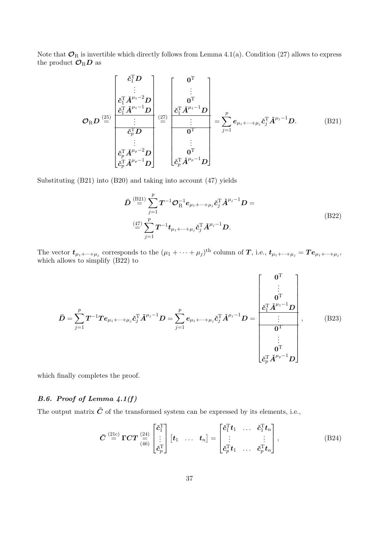Note that  $\mathcal{O}_R$  is invertible which directly follows from Lemma 4.1(a). Condition (27) allows to express the product  $\mathcal{O}_R D$  as

$$
\mathcal{O}_{R}D \stackrel{\text{(25)}}{=} \frac{\begin{bmatrix} \check{c}_{1}^{T}D \\ \vdots \\ \check{c}_{1}^{T}\check{A}^{\mu_{1}-2}D \\ \vdots \\ \check{c}_{p}^{T}D \end{bmatrix}}{\begin{bmatrix} \check{c}_{1}^{T}\check{A}^{\mu_{1}-1}D \\ \vdots \\ \check{c}_{p}^{T}D \end{bmatrix}} \stackrel{\text{(27)}}{=} \frac{\begin{bmatrix} 0^{T} \\ \vdots \\ 0^{T} \\ \vdots \\ \vdots \\ 0^{T} \end{bmatrix}}{\begin{bmatrix} \check{c}_{1}^{T}\check{A}^{\mu_{1}-1}D \\ \vdots \\ \vdots \\ \check{c}_{p}^{T}\check{A}^{\mu_{p}-2}D \end{bmatrix}} = \sum_{j=1}^{p} e_{\mu_{1}+\cdots+\mu_{j}} \check{c}_{j}^{T}\check{A}^{\mu_{j}-1}D. \quad (B21)
$$

Substituting (B21) into (B20) and taking into account (47) yields

$$
\bar{D} \stackrel{\text{(B21)}}{=} \sum_{j=1}^{p} T^{-1} \mathcal{O}_{R}^{-1} e_{\mu_{1} + \dots + \mu_{j}} \tilde{c}_{j}^{T} \tilde{A}^{\mu_{j}-1} D =
$$
\n
$$
\stackrel{\text{(47)}}{=} \sum_{j=1}^{p} T^{-1} t_{\mu_{1} + \dots + \mu_{j}} \tilde{c}_{j}^{T} \tilde{A}^{\mu_{j}-1} D.
$$
\n(B22)

The vector  $t_{\mu_1+\cdots+\mu_j}$  corresponds to the  $(\mu_1+\cdots+\mu_j)^{\text{th}}$  column of T, i.e.,  $t_{\mu_1+\cdots+\mu_j} = Te_{\mu_1+\cdots+\mu_j}$ , which allows to simplify (B22) to

$$
\bar{D} = \sum_{j=1}^{p} T^{-1} T e_{\mu_1 + \dots + \mu_j} \check{c}_j^{\mathrm{T}} \check{A}^{\mu_j - 1} D = \sum_{j=1}^{p} e_{\mu_1 + \dots + \mu_j} \check{c}_j^{\mathrm{T}} \check{A}^{\mu_j - 1} D = \frac{\begin{bmatrix} 0^{\mathrm{T}} \\ \vdots \\ 0^{\mathrm{T}} \\ \vdots \\ 0^{\mathrm{T}} \\ \vdots \\ 0^{\mathrm{T}} \\ \vdots \\ 0^{\mathrm{T}} \end{bmatrix}}}{\begin{bmatrix} 0^{\mathrm{T}} \\ \vdots \\ 0^{\mathrm{T}} \\ \vdots \\ 0^{\mathrm{T}} \\ \vdots \\ 0^{\mathrm{T}} \\ \vdots \\ 0^{\mathrm{T}} \end{bmatrix}}, \qquad (B23)
$$

which finally completes the proof.

# B.6. Proof of Lemma 4.1(f)

The output matrix  $\bar{C}$  of the transformed system can be expressed by its elements, i.e.,

$$
\bar{C} \stackrel{\text{(21c)}}{=} \Gamma C T \stackrel{\text{(24)}}{=} \begin{bmatrix} \check{c}_1^{\mathrm{T}} \\ \vdots \\ \check{c}_p^{\mathrm{T}} \end{bmatrix} \begin{bmatrix} t_1 & \dots & t_n \end{bmatrix} = \begin{bmatrix} \check{c}_1^{\mathrm{T}} t_1 & \dots & \check{c}_1^{\mathrm{T}} t_n \\ \vdots & & \vdots \\ \check{c}_p^{\mathrm{T}} t_1 & \dots & \check{c}_p^{\mathrm{T}} t_n \end{bmatrix}, \tag{B24}
$$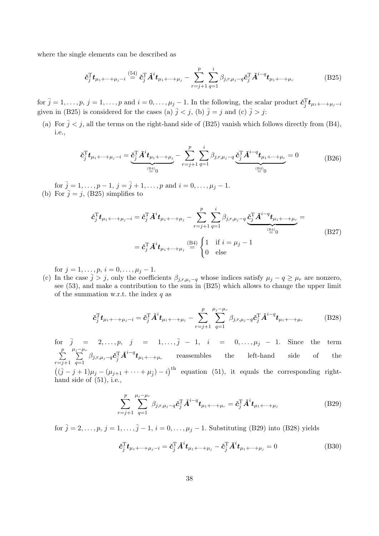where the single elements can be described as

$$
\check{\mathbf{c}}_{\bar{j}}^{\mathrm{T}} \mathbf{t}_{\mu_1 + \dots + \mu_j - i} \stackrel{(54)}{=} \check{\mathbf{c}}_{\bar{j}}^{\mathrm{T}} \check{\mathbf{A}}^i \mathbf{t}_{\mu_1 + \dots + \mu_j} - \sum_{r=j+1}^p \sum_{q=1}^i \beta_{j,r,\mu_j - q} \check{\mathbf{c}}_{\bar{j}}^{\mathrm{T}} \check{\mathbf{A}}^{i-q} \mathbf{t}_{\mu_1 + \dots + \mu_r}
$$
(B25)

for  $\bar{j} = 1, \ldots, p$ ,  $j = 1, \ldots, p$  and  $i = 0, \ldots, \mu_j - 1$ . In the following, the scalar product  $\tilde{c}_{\bar{j}}^{\mathrm{T}} t_{\mu_1 + \cdots + \mu_j - i}$ given in (B25) is considered for the cases (a)  $\bar{j} < j$ , (b)  $\bar{j} = j$  and (c)  $\bar{j} > j$ :

(a) For  $\bar{j} < j$ , all the terms on the right-hand side of (B25) vanish which follows directly from (B4), i.e.,

$$
\check{\mathbf{c}}_{\bar{j}}^{\mathrm{T}}\mathbf{t}_{\mu_1+\dots+\mu_j-i} = \underbrace{\check{\mathbf{c}}_{\bar{j}}^{\mathrm{T}}\check{\mathbf{A}}^i\mathbf{t}_{\mu_1+\dots+\mu_j}}_{\stackrel{(\mathbb{B}^4)}{=}0} - \sum_{r=j+1}^p \sum_{q=1}^i \beta_{j,r,\mu_j-q} \underbrace{\check{\mathbf{c}}_{\bar{j}}^{\mathrm{T}}\check{\mathbf{A}}^{i-q}\mathbf{t}_{\mu_1+\dots+\mu_r}}_{\stackrel{(\mathbb{B}^4)}{=}0} = 0
$$
\n(B26)

for  $\bar{j} = 1, \ldots, p - 1, j = \bar{j} + 1, \ldots, p$  and  $i = 0, \ldots, \mu_j - 1$ . (b) For  $\bar{j} = j$ , (B25) simplifies to

$$
\check{\mathbf{c}}_{j}^{\mathrm{T}}\mathbf{t}_{\mu_{1}+\cdots+\mu_{j}-i} = \check{\mathbf{c}}_{j}^{\mathrm{T}}\check{A}^{i}\mathbf{t}_{\mu_{1}+\cdots+\mu_{j}} - \sum_{r=j+1}^{p} \sum_{q=1}^{i} \beta_{j,r,\mu_{j}-q} \underbrace{\check{\mathbf{c}}_{j}^{\mathrm{T}}\check{A}^{i-q}\mathbf{t}_{\mu_{1}+\cdots+\mu_{r}}}_{\stackrel{\text{(B4)}}{=\!\!=} 0} = \check{\mathbf{c}}_{j}^{\mathrm{T}}\check{A}^{i}\mathbf{t}_{\mu_{1}+\cdots+\mu_{j}} \stackrel{\text{(B4)}}{=} \begin{cases} 1 & \text{if } i = \mu_{j} - 1 \\ 0 & \text{else} \end{cases} \tag{B27}
$$

for  $j = 1, \ldots, p, i = 0, \ldots, \mu_j - 1$ .

(c) In the case  $\overline{j} > j$ , only the coefficients  $\beta_{j,r,\mu_j-q}$  whose indices satisfy  $\mu_j - q \ge \mu_r$  are nonzero, see (53), and make a contribution to the sum in (B25) which allows to change the upper limit of the summation w.r.t. the index  $q$  as

$$
\check{\mathbf{c}}_{\bar{j}}^{\mathrm{T}} \mathbf{t}_{\mu_1 + \dots + \mu_j - i} = \check{\mathbf{c}}_{\bar{j}}^{\mathrm{T}} \check{\mathbf{A}}^i \mathbf{t}_{\mu_1 + \dots + \mu_j} - \sum_{r=j+1}^p \sum_{q=1}^{\mu_j - \mu_r} \beta_{j,r,\mu_j - q} \check{\mathbf{c}}_{\bar{j}}^{\mathrm{T}} \check{\mathbf{A}}^{i-q} \mathbf{t}_{\mu_1 + \dots + \mu_r}
$$
(B28)

for  $\bar{j} = 2, ..., p, j = 1, ..., \bar{j} - 1, i = 0, ..., \mu_j - 1$ . Since the term  $\sum$ p  $r = j + 1$  $\sum_{r=1}^{\mu_j-\mu_r}$  $\sum_{q=1}^{\infty} \beta_{j,r,\mu_j-q} \tilde{\bm{c}}_j^{\mathrm{T}} \tilde{\bm{A}}^{i-q} \bm{t}_{\mu_1+\cdots+\mu_r}$  reassembles the left-hand side of the  $((\bar{j} - j + 1)\mu_j - (\mu_{j+1} + \cdots + \mu_{\bar{j}}) - i)^{\text{th}}$  equation (51), it equals the corresponding righthand side of (51), i.e.,

$$
\sum_{r=j+1}^{p} \sum_{q=1}^{\mu_j - \mu_r} \beta_{j,r,\mu_j - q} \tilde{c}_j^{\mathrm{T}} \tilde{A}^{i-q} t_{\mu_1 + \dots + \mu_r} = \tilde{c}_j^{\mathrm{T}} \tilde{A}^i t_{\mu_1 + \dots + \mu_j}
$$
(B29)

for  $\bar{j} = 2, \ldots, p, j = 1, \ldots, \bar{j} - 1, i = 0, \ldots, \mu_j - 1$ . Substituting (B29) into (B28) yields

$$
\check{\mathbf{c}}_{\bar{j}}^{\mathrm{T}} \mathbf{t}_{\mu_1 + \dots + \mu_j - i} = \check{\mathbf{c}}_{\bar{j}}^{\mathrm{T}} \check{\mathbf{A}}^i \mathbf{t}_{\mu_1 + \dots + \mu_j} - \check{\mathbf{c}}_{\bar{j}}^{\mathrm{T}} \check{\mathbf{A}}^i \mathbf{t}_{\mu_1 + \dots + \mu_j} = 0 \tag{B30}
$$